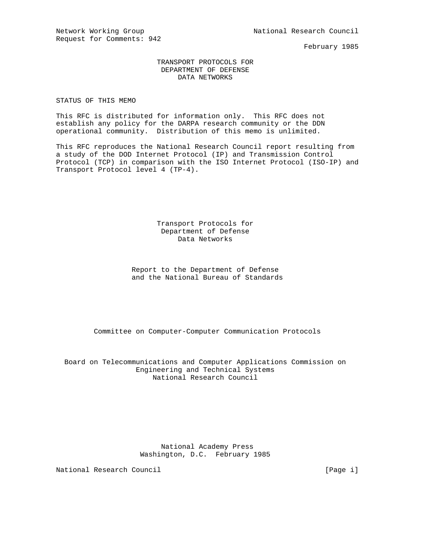February 1985

## TRANSPORT PROTOCOLS FOR DEPARTMENT OF DEFENSE DATA NETWORKS

STATUS OF THIS MEMO

This RFC is distributed for information only. This RFC does not establish any policy for the DARPA research community or the DDN operational community. Distribution of this memo is unlimited.

This RFC reproduces the National Research Council report resulting from a study of the DOD Internet Protocol (IP) and Transmission Control Protocol (TCP) in comparison with the ISO Internet Protocol (ISO-IP) and Transport Protocol level 4 (TP-4).

> Transport Protocols for Department of Defense Data Networks

 Report to the Department of Defense and the National Bureau of Standards

Committee on Computer-Computer Communication Protocols

 Board on Telecommunications and Computer Applications Commission on Engineering and Technical Systems National Research Council

> National Academy Press Washington, D.C. February 1985

National Research Council **Example 20** (Page i)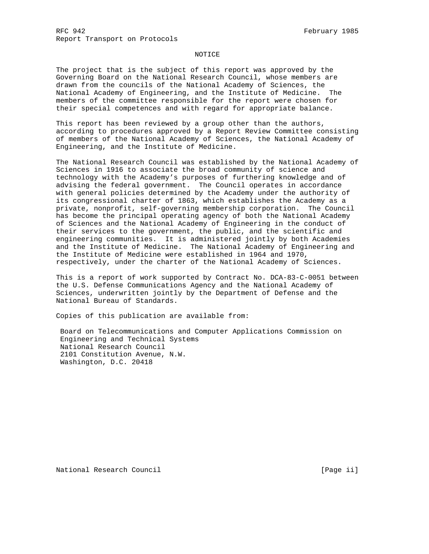## NOTICE

The project that is the subject of this report was approved by the Governing Board on the National Research Council, whose members are drawn from the councils of the National Academy of Sciences, the National Academy of Engineering, and the Institute of Medicine. The members of the committee responsible for the report were chosen for their special competences and with regard for appropriate balance.

This report has been reviewed by a group other than the authors, according to procedures approved by a Report Review Committee consisting of members of the National Academy of Sciences, the National Academy of Engineering, and the Institute of Medicine.

The National Research Council was established by the National Academy of Sciences in 1916 to associate the broad community of science and technology with the Academy's purposes of furthering knowledge and of advising the federal government. The Council operates in accordance with general policies determined by the Academy under the authority of its congressional charter of 1863, which establishes the Academy as a private, nonprofit, self-governing membership corporation. The Council has become the principal operating agency of both the National Academy of Sciences and the National Academy of Engineering in the conduct of their services to the government, the public, and the scientific and engineering communities. It is administered jointly by both Academies and the Institute of Medicine. The National Academy of Engineering and the Institute of Medicine were established in 1964 and 1970, respectively, under the charter of the National Academy of Sciences.

This is a report of work supported by Contract No. DCA-83-C-0051 between the U.S. Defense Communications Agency and the National Academy of Sciences, underwritten jointly by the Department of Defense and the National Bureau of Standards.

Copies of this publication are available from:

 Board on Telecommunications and Computer Applications Commission on Engineering and Technical Systems National Research Council 2101 Constitution Avenue, N.W. Washington, D.C. 20418

National Research Council **Example 20** (Page ii)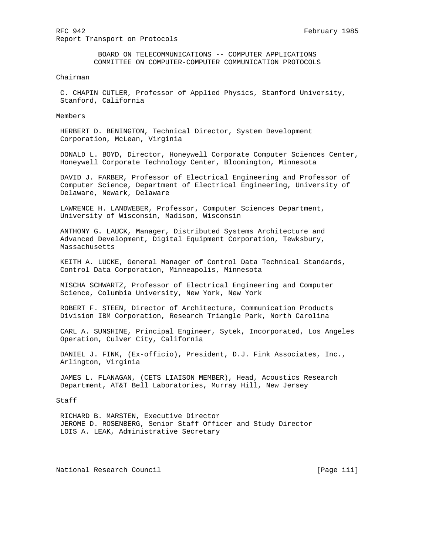> BOARD ON TELECOMMUNICATIONS -- COMPUTER APPLICATIONS COMMITTEE ON COMPUTER-COMPUTER COMMUNICATION PROTOCOLS

Chairman

 C. CHAPIN CUTLER, Professor of Applied Physics, Stanford University, Stanford, California

Members

 HERBERT D. BENINGTON, Technical Director, System Development Corporation, McLean, Virginia

 DONALD L. BOYD, Director, Honeywell Corporate Computer Sciences Center, Honeywell Corporate Technology Center, Bloomington, Minnesota

 DAVID J. FARBER, Professor of Electrical Engineering and Professor of Computer Science, Department of Electrical Engineering, University of Delaware, Newark, Delaware

 LAWRENCE H. LANDWEBER, Professor, Computer Sciences Department, University of Wisconsin, Madison, Wisconsin

 ANTHONY G. LAUCK, Manager, Distributed Systems Architecture and Advanced Development, Digital Equipment Corporation, Tewksbury, Massachusetts

 KEITH A. LUCKE, General Manager of Control Data Technical Standards, Control Data Corporation, Minneapolis, Minnesota

 MISCHA SCHWARTZ, Professor of Electrical Engineering and Computer Science, Columbia University, New York, New York

 ROBERT F. STEEN, Director of Architecture, Communication Products Division IBM Corporation, Research Triangle Park, North Carolina

 CARL A. SUNSHINE, Principal Engineer, Sytek, Incorporated, Los Angeles Operation, Culver City, California

 DANIEL J. FINK, (Ex-officio), President, D.J. Fink Associates, Inc., Arlington, Virginia

 JAMES L. FLANAGAN, (CETS LIAISON MEMBER), Head, Acoustics Research Department, AT&T Bell Laboratories, Murray Hill, New Jersey

Staff

 RICHARD B. MARSTEN, Executive Director JEROME D. ROSENBERG, Senior Staff Officer and Study Director LOIS A. LEAK, Administrative Secretary

National Research Council **Example 20** (Page iii)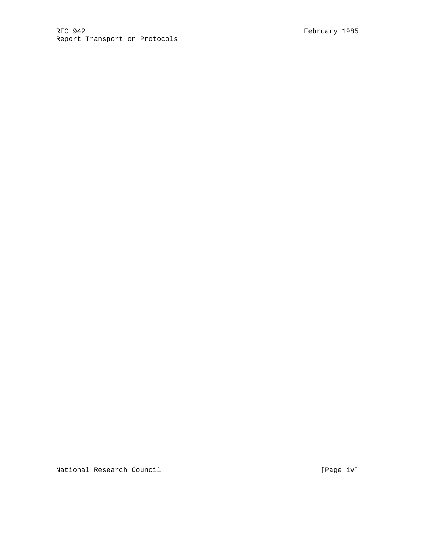National Research Council **Example 20** (Page iv)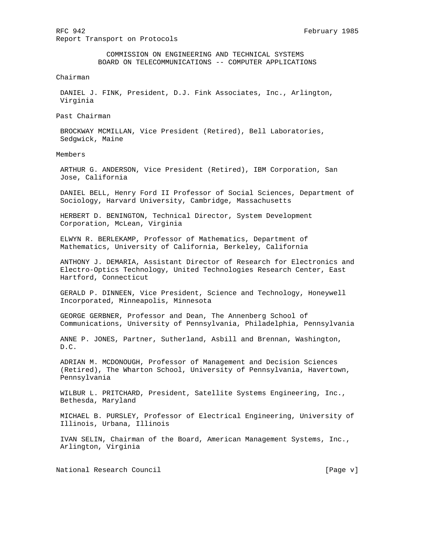> COMMISSION ON ENGINEERING AND TECHNICAL SYSTEMS BOARD ON TELECOMMUNICATIONS -- COMPUTER APPLICATIONS

Chairman

 DANIEL J. FINK, President, D.J. Fink Associates, Inc., Arlington, Virginia

Past Chairman

 BROCKWAY MCMILLAN, Vice President (Retired), Bell Laboratories, Sedgwick, Maine

Members

 ARTHUR G. ANDERSON, Vice President (Retired), IBM Corporation, San Jose, California

 DANIEL BELL, Henry Ford II Professor of Social Sciences, Department of Sociology, Harvard University, Cambridge, Massachusetts

 HERBERT D. BENINGTON, Technical Director, System Development Corporation, McLean, Virginia

 ELWYN R. BERLEKAMP, Professor of Mathematics, Department of Mathematics, University of California, Berkeley, California

 ANTHONY J. DEMARIA, Assistant Director of Research for Electronics and Electro-Optics Technology, United Technologies Research Center, East Hartford, Connecticut

 GERALD P. DINNEEN, Vice President, Science and Technology, Honeywell Incorporated, Minneapolis, Minnesota

 GEORGE GERBNER, Professor and Dean, The Annenberg School of Communications, University of Pennsylvania, Philadelphia, Pennsylvania

 ANNE P. JONES, Partner, Sutherland, Asbill and Brennan, Washington, D.C.

 ADRIAN M. MCDONOUGH, Professor of Management and Decision Sciences (Retired), The Wharton School, University of Pennsylvania, Havertown, Pennsylvania

 WILBUR L. PRITCHARD, President, Satellite Systems Engineering, Inc., Bethesda, Maryland

 MICHAEL B. PURSLEY, Professor of Electrical Engineering, University of Illinois, Urbana, Illinois

 IVAN SELIN, Chairman of the Board, American Management Systems, Inc., Arlington, Virginia

National Research Council **Example 20** (Page v)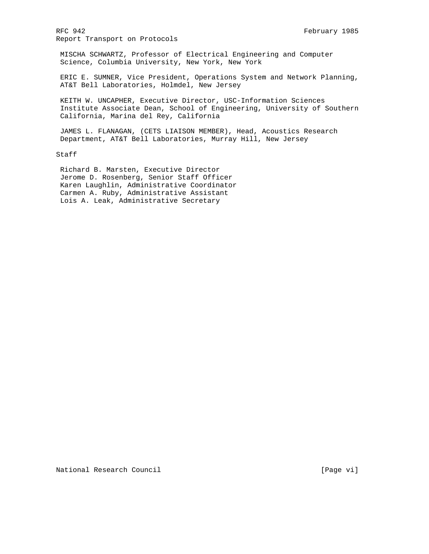MISCHA SCHWARTZ, Professor of Electrical Engineering and Computer Science, Columbia University, New York, New York

 ERIC E. SUMNER, Vice President, Operations System and Network Planning, AT&T Bell Laboratories, Holmdel, New Jersey

 KEITH W. UNCAPHER, Executive Director, USC-Information Sciences Institute Associate Dean, School of Engineering, University of Southern California, Marina del Rey, California

 JAMES L. FLANAGAN, (CETS LIAISON MEMBER), Head, Acoustics Research Department, AT&T Bell Laboratories, Murray Hill, New Jersey

Staff

 Richard B. Marsten, Executive Director Jerome D. Rosenberg, Senior Staff Officer Karen Laughlin, Administrative Coordinator Carmen A. Ruby, Administrative Assistant Lois A. Leak, Administrative Secretary

National Research Council **Example 20** (Page vi)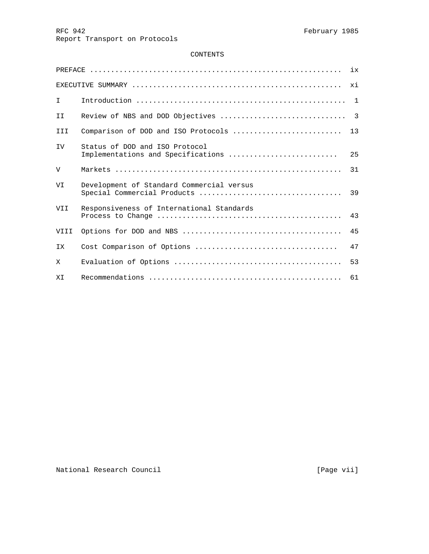# CONTENTS

|                |                                                                          | ix |
|----------------|--------------------------------------------------------------------------|----|
| xi             |                                                                          |    |
| $\mathsf{T}$   |                                                                          |    |
| TT <sub></sub> |                                                                          |    |
| III            | Comparison of DOD and ISO Protocols                                      | 13 |
| IV             | Status of DOD and ISO Protocol<br>Implementations and Specifications     | 25 |
| $\overline{V}$ |                                                                          | 31 |
| VI             | Development of Standard Commercial versus<br>Special Commercial Products | 39 |
| VII            | Responsiveness of International Standards                                | 43 |
| VIII           |                                                                          | 45 |
| <b>IX</b>      |                                                                          | 47 |
| X              |                                                                          | 53 |
| XT             |                                                                          | 61 |

National Research Council **Example 20** (Page vii)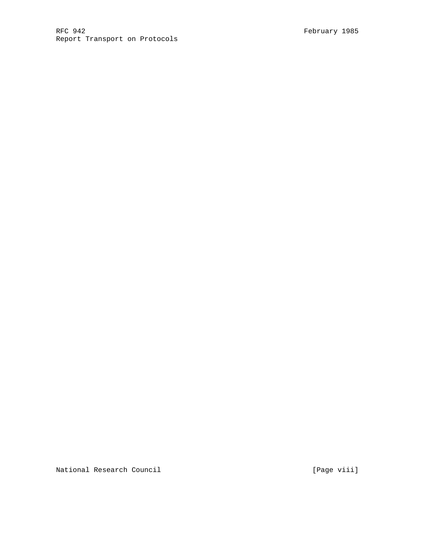National Research Council **Example 20** (Page viii)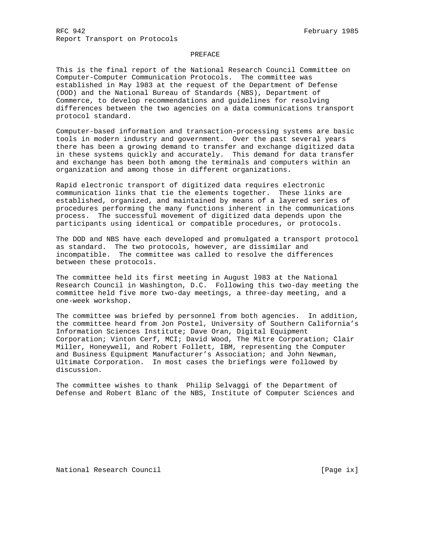### PREFACE

This is the final report of the National Research Council Committee on Computer-Computer Communication Protocols. The committee was established in May l983 at the request of the Department of Defense (DOD) and the National Bureau of Standards (NBS), Department of Commerce, to develop recommendations and guidelines for resolving differences between the two agencies on a data communications transport protocol standard.

Computer-based information and transaction-processing systems are basic tools in modern industry and government. Over the past several years there has been a growing demand to transfer and exchange digitized data in these systems quickly and accurately. This demand for data transfer and exchange has been both among the terminals and computers within an organization and among those in different organizations.

Rapid electronic transport of digitized data requires electronic communication links that tie the elements together. These links are established, organized, and maintained by means of a layered series of procedures performing the many functions inherent in the communications process. The successful movement of digitized data depends upon the participants using identical or compatible procedures, or protocols.

The DOD and NBS have each developed and promulgated a transport protocol as standard. The two protocols, however, are dissimilar and incompatible. The committee was called to resolve the differences between these protocols.

The committee held its first meeting in August l983 at the National Research Council in Washington, D.C. Following this two-day meeting the committee held five more two-day meetings, a three-day meeting, and a one-week workshop.

The committee was briefed by personnel from both agencies. In addition, the committee heard from Jon Postel, University of Southern California's Information Sciences Institute; Dave Oran, Digital Equipment Corporation; Vinton Cerf, MCI; David Wood, The Mitre Corporation; Clair Miller, Honeywell, and Robert Follett, IBM, representing the Computer and Business Equipment Manufacturer's Association; and John Newman, Ultimate Corporation. In most cases the briefings were followed by discussion.

The committee wishes to thank Philip Selvaggi of the Department of Defense and Robert Blanc of the NBS, Institute of Computer Sciences and

National Research Council **Example 20** (Page ix)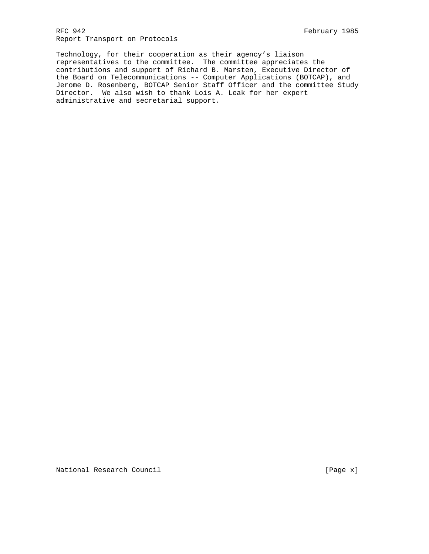Technology, for their cooperation as their agency's liaison representatives to the committee. The committee appreciates the contributions and support of Richard B. Marsten, Executive Director of the Board on Telecommunications -- Computer Applications (BOTCAP), and Jerome D. Rosenberg, BOTCAP Senior Staff Officer and the committee Study Director. We also wish to thank Lois A. Leak for her expert administrative and secretarial support.

National Research Council **Example 20** (Page x)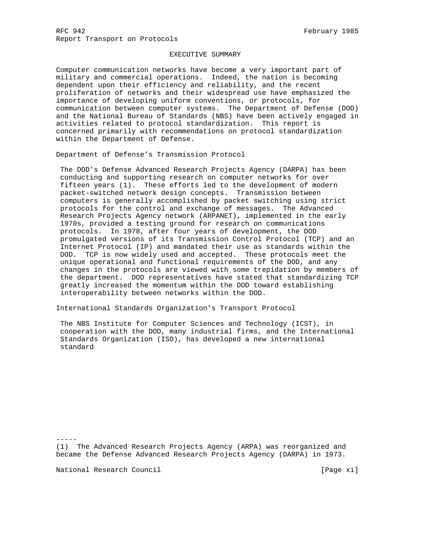### EXECUTIVE SUMMARY

Computer communication networks have become a very important part of military and commercial operations. Indeed, the nation is becoming dependent upon their efficiency and reliability, and the recent proliferation of networks and their widespread use have emphasized the importance of developing uniform conventions, or protocols, for communication between computer systems. The Department of Defense (DOD) and the National Bureau of Standards (NBS) have been actively engaged in activities related to protocol standardization. This report is concerned primarily with recommendations on protocol standardization within the Department of Defense.

Department of Defense's Transmission Protocol

 The DOD's Defense Advanced Research Projects Agency (DARPA) has been conducting and supporting research on computer networks for over fifteen years (1). These efforts led to the development of modern packet-switched network design concepts. Transmission between computers is generally accomplished by packet switching using strict protocols for the control and exchange of messages. The Advanced Research Projects Agency network (ARPANET), implemented in the early 1970s, provided a testing ground for research on communications protocols. In 1978, after four years of development, the DOD promulgated versions of its Transmission Control Protocol (TCP) and an Internet Protocol (IP) and mandated their use as standards within the DOD. TCP is now widely used and accepted. These protocols meet the unique operational and functional requirements of the DOD, and any changes in the protocols are viewed with some trepidation by members of the department. DOD representatives have stated that standardizing TCP greatly increased the momentum within the DOD toward establishing interoperability between networks within the DOD.

International Standards Organization's Transport Protocol

 The NBS Institute for Computer Sciences and Technology (ICST), in cooperation with the DOD, many industrial firms, and the International Standards Organization (ISO), has developed a new international standard

-----

(1) The Advanced Research Projects Agency (ARPA) was reorganized and became the Defense Advanced Research Projects Agency (DARPA) in 1973.

National Research Council **Example 20** (Page xi)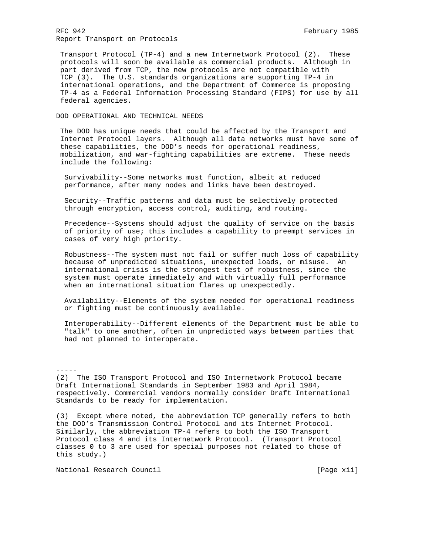Transport Protocol (TP-4) and a new Internetwork Protocol (2). These protocols will soon be available as commercial products. Although in part derived from TCP, the new protocols are not compatible with TCP (3). The U.S. standards organizations are supporting TP-4 in international operations, and the Department of Commerce is proposing TP-4 as a Federal Information Processing Standard (FIPS) for use by all federal agencies.

DOD OPERATIONAL AND TECHNICAL NEEDS

 The DOD has unique needs that could be affected by the Transport and Internet Protocol layers. Although all data networks must have some of these capabilities, the DOD's needs for operational readiness, mobilization, and war-fighting capabilities are extreme. These needs include the following:

 Survivability--Some networks must function, albeit at reduced performance, after many nodes and links have been destroyed.

 Security--Traffic patterns and data must be selectively protected through encryption, access control, auditing, and routing.

 Precedence--Systems should adjust the quality of service on the basis of priority of use; this includes a capability to preempt services in cases of very high priority.

 Robustness--The system must not fail or suffer much loss of capability because of unpredicted situations, unexpected loads, or misuse. An international crisis is the strongest test of robustness, since the system must operate immediately and with virtually full performance when an international situation flares up unexpectedly.

 Availability--Elements of the system needed for operational readiness or fighting must be continuously available.

 Interoperability--Different elements of the Department must be able to "talk" to one another, often in unpredicted ways between parties that had not planned to interoperate.

-----

(3) Except where noted, the abbreviation TCP generally refers to both the DOD's Transmission Control Protocol and its Internet Protocol. Similarly, the abbreviation TP-4 refers to both the ISO Transport Protocol class 4 and its Internetwork Protocol. (Transport Protocol classes 0 to 3 are used for special purposes not related to those of this study.)

National Research Council **Example 20** (Page xii)

<sup>(2)</sup> The ISO Transport Protocol and ISO Internetwork Protocol became Draft International Standards in September 1983 and April 1984, respectively. Commercial vendors normally consider Draft International Standards to be ready for implementation.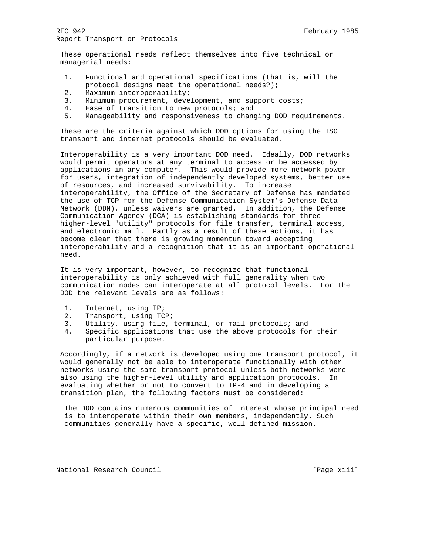These operational needs reflect themselves into five technical or managerial needs:

- 1. Functional and operational specifications (that is, will the protocol designs meet the operational needs?);<br>2. Maximum interoperability;
- Maximum interoperability;
- 3. Minimum procurement, development, and support costs;
- 4. Ease of transition to new protocols; and
- 5. Manageability and responsiveness to changing DOD requirements.

 These are the criteria against which DOD options for using the ISO transport and internet protocols should be evaluated.

 Interoperability is a very important DOD need. Ideally, DOD networks would permit operators at any terminal to access or be accessed by applications in any computer. This would provide more network power for users, integration of independently developed systems, better use of resources, and increased survivability. To increase interoperability, the Office of the Secretary of Defense has mandated the use of TCP for the Defense Communication System's Defense Data Network (DDN), unless waivers are granted. In addition, the Defense Communication Agency (DCA) is establishing standards for three higher-level "utility" protocols for file transfer, terminal access, and electronic mail. Partly as a result of these actions, it has become clear that there is growing momentum toward accepting interoperability and a recognition that it is an important operational need.

 It is very important, however, to recognize that functional interoperability is only achieved with full generality when two communication nodes can interoperate at all protocol levels. For the DOD the relevant levels are as follows:

- 1. Internet, using IP;
- 2. Transport, using TCP;
- 3. Utility, using file, terminal, or mail protocols; and
- 4. Specific applications that use the above protocols for their particular purpose.

 Accordingly, if a network is developed using one transport protocol, it would generally not be able to interoperate functionally with other networks using the same transport protocol unless both networks were also using the higher-level utility and application protocols. In evaluating whether or not to convert to TP-4 and in developing a transition plan, the following factors must be considered:

 The DOD contains numerous communities of interest whose principal need is to interoperate within their own members, independently. Such communities generally have a specific, well-defined mission.

National Research Council **Example 20** (Page xiii)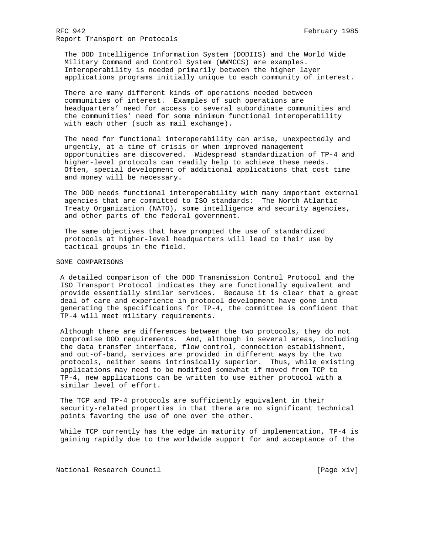The DOD Intelligence Information System (DODIIS) and the World Wide Military Command and Control System (WWMCCS) are examples. Interoperability is needed primarily between the higher layer applications programs initially unique to each community of interest.

 There are many different kinds of operations needed between communities of interest. Examples of such operations are headquarters' need for access to several subordinate communities and the communities' need for some minimum functional interoperability with each other (such as mail exchange).

 The need for functional interoperability can arise, unexpectedly and urgently, at a time of crisis or when improved management opportunities are discovered. Widespread standardization of TP-4 and higher-level protocols can readily help to achieve these needs. Often, special development of additional applications that cost time and money will be necessary.

 The DOD needs functional interoperability with many important external agencies that are committed to ISO standards: The North Atlantic Treaty Organization (NATO), some intelligence and security agencies, and other parts of the federal government.

 The same objectives that have prompted the use of standardized protocols at higher-level headquarters will lead to their use by tactical groups in the field.

### SOME COMPARISONS

 A detailed comparison of the DOD Transmission Control Protocol and the ISO Transport Protocol indicates they are functionally equivalent and provide essentially similar services. Because it is clear that a great deal of care and experience in protocol development have gone into generating the specifications for TP-4, the committee is confident that TP-4 will meet military requirements.

 Although there are differences between the two protocols, they do not compromise DOD requirements. And, although in several areas, including the data transfer interface, flow control, connection establishment, and out-of-band, services are provided in different ways by the two protocols, neither seems intrinsically superior. Thus, while existing applications may need to be modified somewhat if moved from TCP to TP-4, new applications can be written to use either protocol with a similar level of effort.

 The TCP and TP-4 protocols are sufficiently equivalent in their security-related properties in that there are no significant technical points favoring the use of one over the other.

 While TCP currently has the edge in maturity of implementation, TP-4 is gaining rapidly due to the worldwide support for and acceptance of the

National Research Council **Example 20** (Page xiv)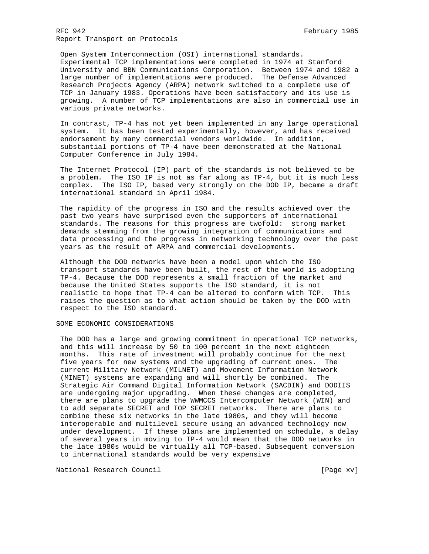Open System Interconnection (OSI) international standards. Experimental TCP implementations were completed in 1974 at Stanford University and BBN Communications Corporation. Between 1974 and 1982 a large number of implementations were produced. The Defense Advanced Research Projects Agency (ARPA) network switched to a complete use of TCP in January 1983. Operations have been satisfactory and its use is growing. A number of TCP implementations are also in commercial use in various private networks.

 In contrast, TP-4 has not yet been implemented in any large operational system. It has been tested experimentally, however, and has received endorsement by many commercial vendors worldwide. In addition, substantial portions of TP-4 have been demonstrated at the National Computer Conference in July 1984.

 The Internet Protocol (IP) part of the standards is not believed to be a problem. The ISO IP is not as far along as TP-4, but it is much less complex. The ISO IP, based very strongly on the DOD IP, became a draft international standard in April 1984.

 The rapidity of the progress in ISO and the results achieved over the past two years have surprised even the supporters of international standards. The reasons for this progress are twofold: strong market demands stemming from the growing integration of communications and data processing and the progress in networking technology over the past years as the result of ARPA and commercial developments.

 Although the DOD networks have been a model upon which the ISO transport standards have been built, the rest of the world is adopting TP-4. Because the DOD represents a small fraction of the market and because the United States supports the ISO standard, it is not realistic to hope that TP-4 can be altered to conform with TCP. This raises the question as to what action should be taken by the DOD with respect to the ISO standard.

## SOME ECONOMIC CONSIDERATIONS

 The DOD has a large and growing commitment in operational TCP networks, and this will increase by 50 to 100 percent in the next eighteen months. This rate of investment will probably continue for the next five years for new systems and the upgrading of current ones. The current Military Network (MILNET) and Movement Information Network (MINET) systems are expanding and will shortly be combined. The Strategic Air Command Digital Information Network (SACDIN) and DODIIS are undergoing major upgrading. When these changes are completed, there are plans to upgrade the WWMCCS Intercomputer Network (WIN) and to add separate SECRET and TOP SECRET networks. There are plans to combine these six networks in the late 1980s, and they will become interoperable and multilevel secure using an advanced technology now under development. If these plans are implemented on schedule, a delay of several years in moving to TP-4 would mean that the DOD networks in the late 1980s would be virtually all TCP-based. Subsequent conversion to international standards would be very expensive

National Research Council **Example 2018** [Page xv]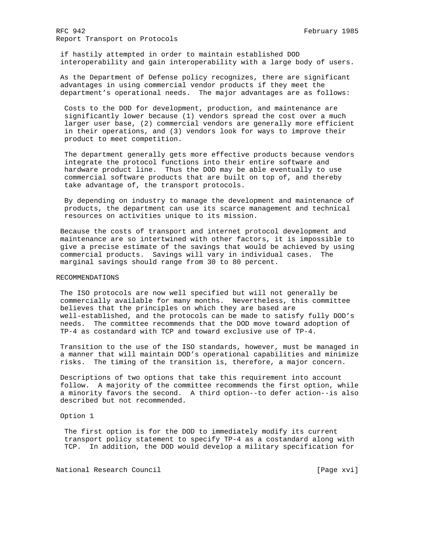if hastily attempted in order to maintain established DOD interoperability and gain interoperability with a large body of users.

 As the Department of Defense policy recognizes, there are significant advantages in using commercial vendor products if they meet the department's operational needs. The major advantages are as follows:

 Costs to the DOD for development, production, and maintenance are significantly lower because (1) vendors spread the cost over a much larger user base, (2) commercial vendors are generally more efficient in their operations, and (3) vendors look for ways to improve their product to meet competition.

 The department generally gets more effective products because vendors integrate the protocol functions into their entire software and hardware product line. Thus the DOD may be able eventually to use commercial software products that are built on top of, and thereby take advantage of, the transport protocols.

 By depending on industry to manage the development and maintenance of products, the department can use its scarce management and technical resources on activities unique to its mission.

 Because the costs of transport and internet protocol development and maintenance are so intertwined with other factors, it is impossible to give a precise estimate of the savings that would be achieved by using commercial products. Savings will vary in individual cases. The marginal savings should range from 30 to 80 percent.

## RECOMMENDATIONS

 The ISO protocols are now well specified but will not generally be commercially available for many months. Nevertheless, this committee believes that the principles on which they are based are well-established, and the protocols can be made to satisfy fully DOD's needs. The committee recommends that the DOD move toward adoption of TP-4 as costandard with TCP and toward exclusive use of TP-4.

 Transition to the use of the ISO standards, however, must be managed in a manner that will maintain DOD's operational capabilities and minimize risks. The timing of the transition is, therefore, a major concern.

 Descriptions of two options that take this requirement into account follow. A majority of the committee recommends the first option, while a minority favors the second. A third option--to defer action--is also described but not recommended.

Option 1

 The first option is for the DOD to immediately modify its current transport policy statement to specify TP-4 as a costandard along with TCP. In addition, the DOD would develop a military specification for

National Research Council **Example 20** (Page xvi)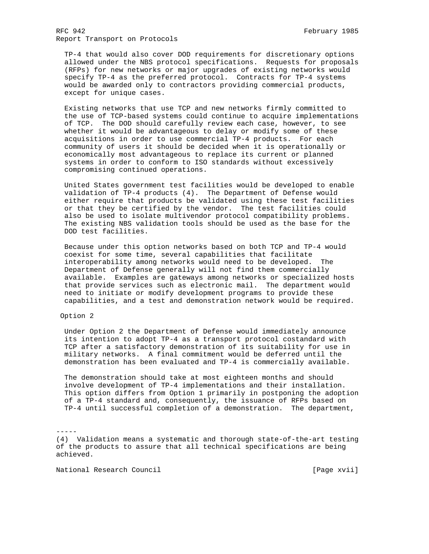TP-4 that would also cover DOD requirements for discretionary options allowed under the NBS protocol specifications. Requests for proposals (RFPs) for new networks or major upgrades of existing networks would specify TP-4 as the preferred protocol. Contracts for TP-4 systems would be awarded only to contractors providing commercial products, except for unique cases.

 Existing networks that use TCP and new networks firmly committed to the use of TCP-based systems could continue to acquire implementations of TCP. The DOD should carefully review each case, however, to see whether it would be advantageous to delay or modify some of these acquisitions in order to use commercial TP-4 products. For each community of users it should be decided when it is operationally or economically most advantageous to replace its current or planned systems in order to conform to ISO standards without excessively compromising continued operations.

 United States government test facilities would be developed to enable validation of TP-4 products (4). The Department of Defense would either require that products be validated using these test facilities or that they be certified by the vendor. The test facilities could also be used to isolate multivendor protocol compatibility problems. The existing NBS validation tools should be used as the base for the DOD test facilities.

 Because under this option networks based on both TCP and TP-4 would coexist for some time, several capabilities that facilitate interoperability among networks would need to be developed. The Department of Defense generally will not find them commercially available. Examples are gateways among networks or specialized hosts that provide services such as electronic mail. The department would need to initiate or modify development programs to provide these capabilities, and a test and demonstration network would be required.

Option 2

 Under Option 2 the Department of Defense would immediately announce its intention to adopt TP-4 as a transport protocol costandard with TCP after a satisfactory demonstration of its suitability for use in military networks. A final commitment would be deferred until the demonstration has been evaluated and TP-4 is commercially available.

 The demonstration should take at most eighteen months and should involve development of TP-4 implementations and their installation. This option differs from Option 1 primarily in postponing the adoption of a TP-4 standard and, consequently, the issuance of RFPs based on TP-4 until successful completion of a demonstration. The department,

----- (4) Validation means a systematic and thorough state-of-the-art testing of the products to assure that all technical specifications are being achieved.

National Research Council **Example 2018** [Page xvii]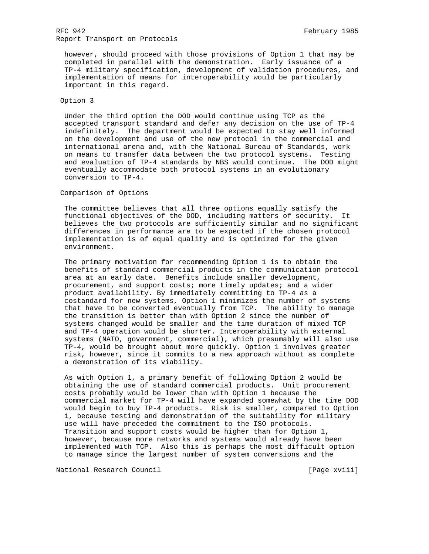however, should proceed with those provisions of Option 1 that may be completed in parallel with the demonstration. Early issuance of a TP-4 military specification, development of validation procedures, and implementation of means for interoperability would be particularly important in this regard.

## Option 3

 Under the third option the DOD would continue using TCP as the accepted transport standard and defer any decision on the use of TP-4 indefinitely. The department would be expected to stay well informed on the development and use of the new protocol in the commercial and international arena and, with the National Bureau of Standards, work on means to transfer data between the two protocol systems. Testing and evaluation of TP-4 standards by NBS would continue. The DOD might eventually accommodate both protocol systems in an evolutionary conversion to TP-4.

#### Comparison of Options

 The committee believes that all three options equally satisfy the functional objectives of the DOD, including matters of security. It believes the two protocols are sufficiently similar and no significant differences in performance are to be expected if the chosen protocol implementation is of equal quality and is optimized for the given environment.

 The primary motivation for recommending Option 1 is to obtain the benefits of standard commercial products in the communication protocol area at an early date. Benefits include smaller development, procurement, and support costs; more timely updates; and a wider product availability. By immediately committing to TP-4 as a costandard for new systems, Option 1 minimizes the number of systems that have to be converted eventually from TCP. The ability to manage the transition is better than with Option 2 since the number of systems changed would be smaller and the time duration of mixed TCP and TP-4 operation would be shorter. Interoperability with external systems (NATO, government, commercial), which presumably will also use TP-4, would be brought about more quickly. Option 1 involves greater risk, however, since it commits to a new approach without as complete a demonstration of its viability.

 As with Option 1, a primary benefit of following Option 2 would be obtaining the use of standard commercial products. Unit procurement costs probably would be lower than with Option 1 because the commercial market for TP-4 will have expanded somewhat by the time DOD would begin to buy TP-4 products. Risk is smaller, compared to Option 1, because testing and demonstration of the suitability for military use will have preceded the commitment to the ISO protocols. Transition and support costs would be higher than for Option 1, however, because more networks and systems would already have been implemented with TCP. Also this is perhaps the most difficult option to manage since the largest number of system conversions and the

National Research Council **Example 20** (Page xviii)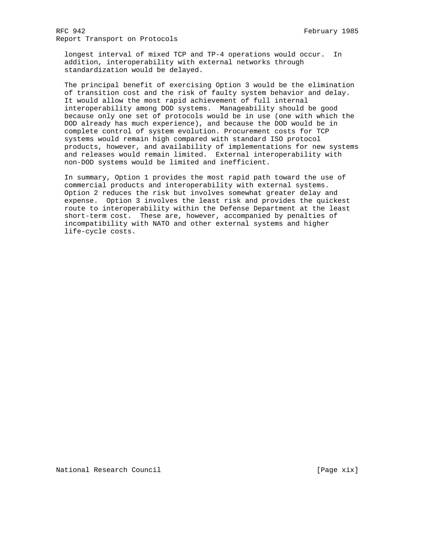longest interval of mixed TCP and TP-4 operations would occur. In addition, interoperability with external networks through standardization would be delayed.

 The principal benefit of exercising Option 3 would be the elimination of transition cost and the risk of faulty system behavior and delay. It would allow the most rapid achievement of full internal interoperability among DOD systems. Manageability should be good because only one set of protocols would be in use (one with which the DOD already has much experience), and because the DOD would be in complete control of system evolution. Procurement costs for TCP systems would remain high compared with standard ISO protocol products, however, and availability of implementations for new systems and releases would remain limited. External interoperability with non-DOD systems would be limited and inefficient.

 In summary, Option 1 provides the most rapid path toward the use of commercial products and interoperability with external systems. Option 2 reduces the risk but involves somewhat greater delay and expense. Option 3 involves the least risk and provides the quickest route to interoperability within the Defense Department at the least short-term cost. These are, however, accompanied by penalties of incompatibility with NATO and other external systems and higher life-cycle costs.

National Research Council **Example 20** (Page xix)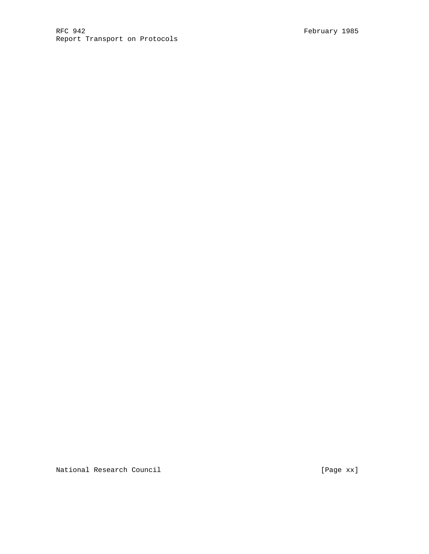National Research Council **Example 2018** [Page xx]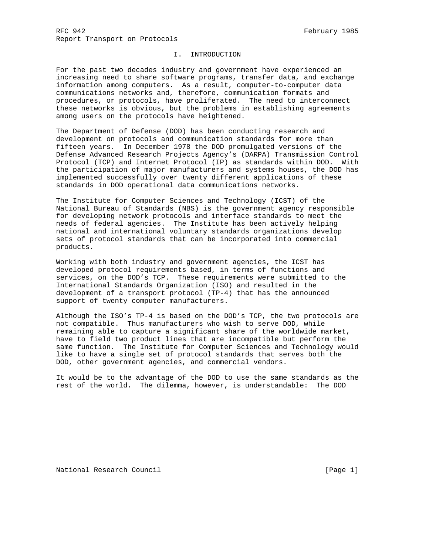## I. INTRODUCTION

For the past two decades industry and government have experienced an increasing need to share software programs, transfer data, and exchange information among computers. As a result, computer-to-computer data communications networks and, therefore, communication formats and procedures, or protocols, have proliferated. The need to interconnect these networks is obvious, but the problems in establishing agreements among users on the protocols have heightened.

The Department of Defense (DOD) has been conducting research and development on protocols and communication standards for more than fifteen years. In December 1978 the DOD promulgated versions of the Defense Advanced Research Projects Agency's (DARPA) Transmission Control Protocol (TCP) and Internet Protocol (IP) as standards within DOD. With the participation of major manufacturers and systems houses, the DOD has implemented successfully over twenty different applications of these standards in DOD operational data communications networks.

The Institute for Computer Sciences and Technology (ICST) of the National Bureau of Standards (NBS) is the government agency responsible for developing network protocols and interface standards to meet the needs of federal agencies. The Institute has been actively helping national and international voluntary standards organizations develop sets of protocol standards that can be incorporated into commercial products.

Working with both industry and government agencies, the ICST has developed protocol requirements based, in terms of functions and services, on the DOD's TCP. These requirements were submitted to the International Standards Organization (ISO) and resulted in the development of a transport protocol (TP-4) that has the announced support of twenty computer manufacturers.

Although the ISO's TP-4 is based on the DOD's TCP, the two protocols are not compatible. Thus manufacturers who wish to serve DOD, while remaining able to capture a significant share of the worldwide market, have to field two product lines that are incompatible but perform the same function. The Institute for Computer Sciences and Technology would like to have a single set of protocol standards that serves both the DOD, other government agencies, and commercial vendors.

It would be to the advantage of the DOD to use the same standards as the rest of the world. The dilemma, however, is understandable: The DOD

National Research Council **Example 20** (Page 1)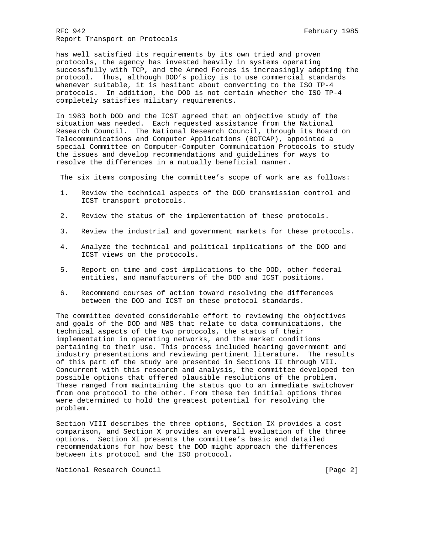has well satisfied its requirements by its own tried and proven protocols, the agency has invested heavily in systems operating successfully with TCP, and the Armed Forces is increasingly adopting the protocol. Thus, although DOD's policy is to use commercial standards whenever suitable, it is hesitant about converting to the ISO TP-4 protocols. In addition, the DOD is not certain whether the ISO TP-4 completely satisfies military requirements.

In 1983 both DOD and the ICST agreed that an objective study of the situation was needed. Each requested assistance from the National Research Council. The National Research Council, through its Board on Telecommunications and Computer Applications (BOTCAP), appointed a special Committee on Computer-Computer Communication Protocols to study the issues and develop recommendations and guidelines for ways to resolve the differences in a mutually beneficial manner.

The six items composing the committee's scope of work are as follows:

- 1. Review the technical aspects of the DOD transmission control and ICST transport protocols.
- 2. Review the status of the implementation of these protocols.
- 3. Review the industrial and government markets for these protocols.
- 4. Analyze the technical and political implications of the DOD and ICST views on the protocols.
- 5. Report on time and cost implications to the DOD, other federal entities, and manufacturers of the DOD and ICST positions.
- 6. Recommend courses of action toward resolving the differences between the DOD and ICST on these protocol standards.

The committee devoted considerable effort to reviewing the objectives and goals of the DOD and NBS that relate to data communications, the technical aspects of the two protocols, the status of their implementation in operating networks, and the market conditions pertaining to their use. This process included hearing government and industry presentations and reviewing pertinent literature. The results of this part of the study are presented in Sections II through VII. Concurrent with this research and analysis, the committee developed ten possible options that offered plausible resolutions of the problem. These ranged from maintaining the status quo to an immediate switchover from one protocol to the other. From these ten initial options three were determined to hold the greatest potential for resolving the problem.

Section VIII describes the three options, Section IX provides a cost comparison, and Section X provides an overall evaluation of the three options. Section XI presents the committee's basic and detailed recommendations for how best the DOD might approach the differences between its protocol and the ISO protocol.

National Research Council **Example 2** and  $[Page 2]$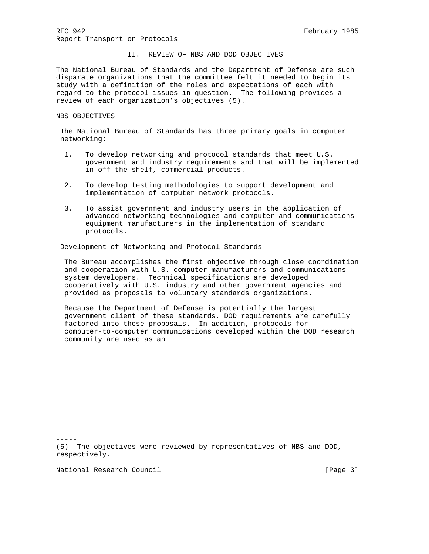## II. REVIEW OF NBS AND DOD OBJECTIVES

The National Bureau of Standards and the Department of Defense are such disparate organizations that the committee felt it needed to begin its study with a definition of the roles and expectations of each with regard to the protocol issues in question. The following provides a review of each organization's objectives (5).

#### NBS OBJECTIVES

 The National Bureau of Standards has three primary goals in computer networking:

- 1. To develop networking and protocol standards that meet U.S. government and industry requirements and that will be implemented in off-the-shelf, commercial products.
- 2. To develop testing methodologies to support development and implementation of computer network protocols.
- 3. To assist government and industry users in the application of advanced networking technologies and computer and communications equipment manufacturers in the implementation of standard protocols.

Development of Networking and Protocol Standards

 The Bureau accomplishes the first objective through close coordination and cooperation with U.S. computer manufacturers and communications system developers. Technical specifications are developed cooperatively with U.S. industry and other government agencies and provided as proposals to voluntary standards organizations.

 Because the Department of Defense is potentially the largest government client of these standards, DOD requirements are carefully factored into these proposals. In addition, protocols for computer-to-computer communications developed within the DOD research community are used as an

-----

(5) The objectives were reviewed by representatives of NBS and DOD, respectively.

National Research Council **Example 20** (Page 3)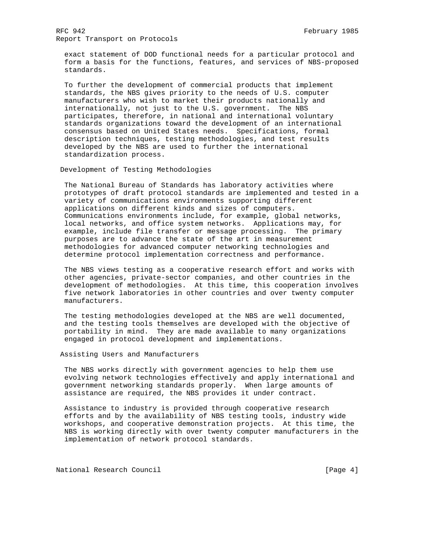exact statement of DOD functional needs for a particular protocol and form a basis for the functions, features, and services of NBS-proposed standards.

 To further the development of commercial products that implement standards, the NBS gives priority to the needs of U.S. computer manufacturers who wish to market their products nationally and internationally, not just to the U.S. government. The NBS participates, therefore, in national and international voluntary standards organizations toward the development of an international consensus based on United States needs. Specifications, formal description techniques, testing methodologies, and test results developed by the NBS are used to further the international standardization process.

Development of Testing Methodologies

 The National Bureau of Standards has laboratory activities where prototypes of draft protocol standards are implemented and tested in a variety of communications environments supporting different applications on different kinds and sizes of computers. Communications environments include, for example, global networks, local networks, and office system networks. Applications may, for example, include file transfer or message processing. The primary purposes are to advance the state of the art in measurement methodologies for advanced computer networking technologies and determine protocol implementation correctness and performance.

 The NBS views testing as a cooperative research effort and works with other agencies, private-sector companies, and other countries in the development of methodologies. At this time, this cooperation involves five network laboratories in other countries and over twenty computer manufacturers.

 The testing methodologies developed at the NBS are well documented, and the testing tools themselves are developed with the objective of portability in mind. They are made available to many organizations engaged in protocol development and implementations.

Assisting Users and Manufacturers

 The NBS works directly with government agencies to help them use evolving network technologies effectively and apply international and government networking standards properly. When large amounts of assistance are required, the NBS provides it under contract.

 Assistance to industry is provided through cooperative research efforts and by the availability of NBS testing tools, industry wide workshops, and cooperative demonstration projects. At this time, the NBS is working directly with over twenty computer manufacturers in the implementation of network protocol standards.

National Research Council **Example 2018** [Page 4]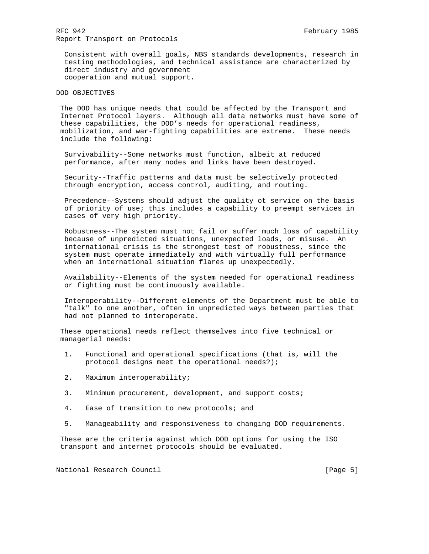Consistent with overall goals, NBS standards developments, research in testing methodologies, and technical assistance are characterized by direct industry and government cooperation and mutual support.

## DOD OBJECTIVES

 The DOD has unique needs that could be affected by the Transport and Internet Protocol layers. Although all data networks must have some of these capabilities, the DOD's needs for operational readiness, mobilization, and war-fighting capabilities are extreme. These needs include the following:

 Survivability--Some networks must function, albeit at reduced performance, after many nodes and links have been destroyed.

 Security--Traffic patterns and data must be selectively protected through encryption, access control, auditing, and routing.

 Precedence--Systems should adjust the quality ot service on the basis of priority of use; this includes a capability to preempt services in cases of very high priority.

 Robustness--The system must not fail or suffer much loss of capability because of unpredicted situations, unexpected loads, or misuse. An international crisis is the strongest test of robustness, since the system must operate immediately and with virtually full performance when an international situation flares up unexpectedly.

 Availability--Elements of the system needed for operational readiness or fighting must be continuously available.

 Interoperability--Different elements of the Department must be able to "talk" to one another, often in unpredicted ways between parties that had not planned to interoperate.

 These operational needs reflect themselves into five technical or managerial needs:

- 1. Functional and operational specifications (that is, will the protocol designs meet the operational needs?);
- 2. Maximum interoperability;
- 3. Minimum procurement, development, and support costs;
- 4. Ease of transition to new protocols; and
- 5. Manageability and responsiveness to changing DOD requirements.

 These are the criteria against which DOD options for using the ISO transport and internet protocols should be evaluated.

National Research Council **Example 20** (Page 5)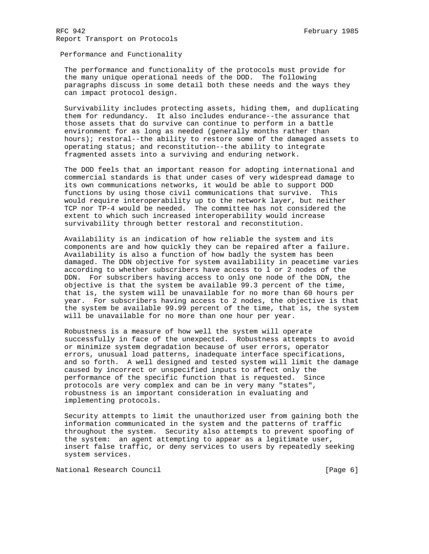Performance and Functionality

 The performance and functionality of the protocols must provide for the many unique operational needs of the DOD. The following paragraphs discuss in some detail both these needs and the ways they can impact protocol design.

 Survivability includes protecting assets, hiding them, and duplicating them for redundancy. It also includes endurance--the assurance that those assets that do survive can continue to perform in a battle environment for as long as needed (generally months rather than hours); restoral--the ability to restore some of the damaged assets to operating status; and reconstitution--the ability to integrate fragmented assets into a surviving and enduring network.

 The DOD feels that an important reason for adopting international and commercial standards is that under cases of very widespread damage to its own communications networks, it would be able to support DOD functions by using those civil communications that survive. This would require interoperability up to the network layer, but neither TCP nor TP-4 would be needed. The committee has not considered the extent to which such increased interoperability would increase survivability through better restoral and reconstitution.

 Availability is an indication of how reliable the system and its components are and how quickly they can be repaired after a failure. Availability is also a function of how badly the system has been damaged. The DDN objective for system availability in peacetime varies according to whether subscribers have access to l or 2 nodes of the DDN. For subscribers having access to only one node of the DDN, the objective is that the system be available 99.3 percent of the time, that is, the system will be unavailable for no more than 60 hours per year. For subscribers having access to 2 nodes, the objective is that the system be available 99.99 percent of the time, that is, the system will be unavailable for no more than one hour per year.

 Robustness is a measure of how well the system will operate successfully in face of the unexpected. Robustness attempts to avoid or minimize system degradation because of user errors, operator errors, unusual load patterns, inadequate interface specifications, and so forth. A well designed and tested system will limit the damage caused by incorrect or unspecified inputs to affect only the performance of the specific function that is requested. Since protocols are very complex and can be in very many "states", robustness is an important consideration in evaluating and implementing protocols.

 Security attempts to limit the unauthorized user from gaining both the information communicated in the system and the patterns of traffic throughout the system. Security also attempts to prevent spoofing of the system: an agent attempting to appear as a legitimate user, insert false traffic, or deny services to users by repeatedly seeking system services.

National Research Council **Example 2018** [Page 6]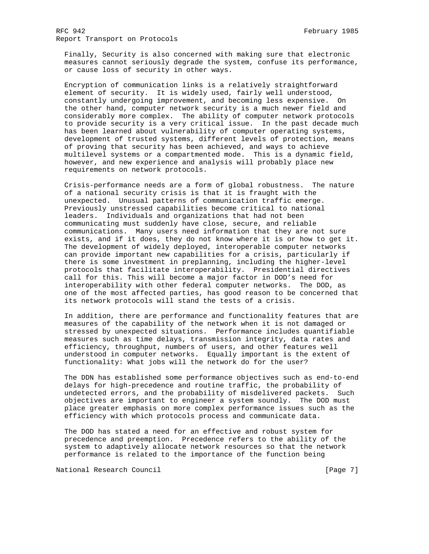Finally, Security is also concerned with making sure that electronic measures cannot seriously degrade the system, confuse its performance, or cause loss of security in other ways.

 Encryption of communication links is a relatively straightforward element of security. It is widely used, fairly well understood, constantly undergoing improvement, and becoming less expensive. On the other hand, computer network security is a much newer field and considerably more complex. The ability of computer network protocols to provide security is a very critical issue. In the past decade much has been learned about vulnerability of computer operating systems, development of trusted systems, different levels of protection, means of proving that security has been achieved, and ways to achieve multilevel systems or a compartmented mode. This is a dynamic field, however, and new experience and analysis will probably place new requirements on network protocols.

 Crisis-performance needs are a form of global robustness. The nature of a national security crisis is that it is fraught with the unexpected. Unusual patterns of communication traffic emerge. Previously unstressed capabilities become critical to national leaders. Individuals and organizations that had not been communicating must suddenly have close, secure, and reliable communications. Many users need information that they are not sure exists, and if it does, they do not know where it is or how to get it. The development of widely deployed, interoperable computer networks can provide important new capabilities for a crisis, particularly if there is some investment in preplanning, including the higher-level protocols that facilitate interoperability. Presidential directives call for this. This will become a major factor in DOD's need for interoperability with other federal computer networks. The DOD, as one of the most affected parties, has good reason to be concerned that its network protocols will stand the tests of a crisis.

 In addition, there are performance and functionality features that are measures of the capability of the network when it is not damaged or stressed by unexpected situations. Performance includes quantifiable measures such as time delays, transmission integrity, data rates and efficiency, throughput, numbers of users, and other features well understood in computer networks. Equally important is the extent of functionality: What jobs will the network do for the user?

 The DDN has established some performance objectives such as end-to-end delays for high-precedence and routine traffic, the probability of undetected errors, and the probability of misdelivered packets. Such objectives are important to engineer a system soundly. The DOD must place greater emphasis on more complex performance issues such as the efficiency with which protocols process and communicate data.

 The DOD has stated a need for an effective and robust system for precedence and preemption. Precedence refers to the ability of the system to adaptively allocate network resources so that the network performance is related to the importance of the function being

National Research Council **Example 20** (Page 7)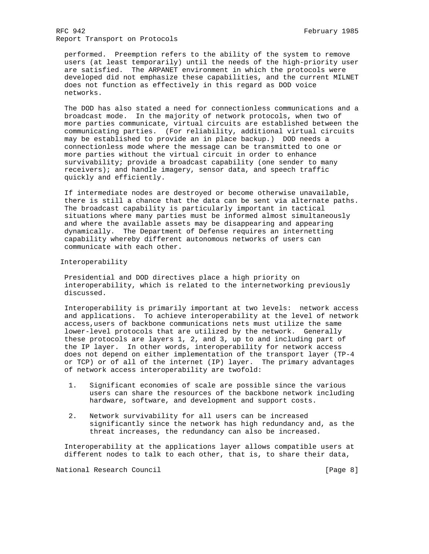performed. Preemption refers to the ability of the system to remove users (at least temporarily) until the needs of the high-priority user are satisfied. The ARPANET environment in which the protocols were developed did not emphasize these capabilities, and the current MILNET does not function as effectively in this regard as DOD voice networks.

 The DOD has also stated a need for connectionless communications and a broadcast mode. In the majority of network protocols, when two of more parties communicate, virtual circuits are established between the communicating parties. (For reliability, additional virtual circuits may be established to provide an in place backup.) DOD needs a connectionless mode where the message can be transmitted to one or more parties without the virtual circuit in order to enhance survivability; provide a broadcast capability (one sender to many receivers); and handle imagery, sensor data, and speech traffic quickly and efficiently.

 If intermediate nodes are destroyed or become otherwise unavailable, there is still a chance that the data can be sent via alternate paths. The broadcast capability is particularly important in tactical situations where many parties must be informed almost simultaneously and where the available assets may be disappearing and appearing dynamically. The Department of Defense requires an internetting capability whereby different autonomous networks of users can communicate with each other.

Interoperability

 Presidential and DOD directives place a high priority on interoperability, which is related to the internetworking previously discussed.

 Interoperability is primarily important at two levels: network access and applications. To achieve interoperability at the level of network access,users of backbone communications nets must utilize the same lower-level protocols that are utilized by the network. Generally these protocols are layers 1, 2, and 3, up to and including part of the IP layer. In other words, interoperability for network access does not depend on either implementation of the transport layer (TP-4 or TCP) or of all of the internet (IP) layer. The primary advantages of network access interoperability are twofold:

- 1. Significant economies of scale are possible since the various users can share the resources of the backbone network including hardware, software, and development and support costs.
- 2. Network survivability for all users can be increased significantly since the network has high redundancy and, as the threat increases, the redundancy can also be increased.

 Interoperability at the applications layer allows compatible users at different nodes to talk to each other, that is, to share their data,

National Research Council **Example 20** (Page 8)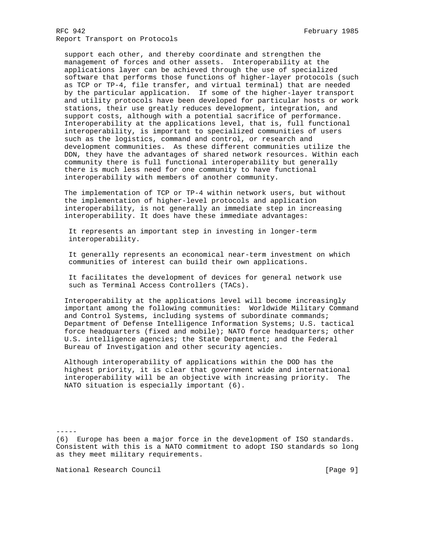support each other, and thereby coordinate and strengthen the management of forces and other assets. Interoperability at the applications layer can be achieved through the use of specialized software that performs those functions of higher-layer protocols (such as TCP or TP-4, file transfer, and virtual terminal) that are needed by the particular application. If some of the higher-layer transport and utility protocols have been developed for particular hosts or work stations, their use greatly reduces development, integration, and support costs, although with a potential sacrifice of performance. Interoperability at the applications level, that is, full functional interoperability, is important to specialized communities of users such as the logistics, command and control, or research and development communities. As these different communities utilize the DDN, they have the advantages of shared network resources. Within each community there is full functional interoperability but generally there is much less need for one community to have functional interoperability with members of another community.

 The implementation of TCP or TP-4 within network users, but without the implementation of higher-level protocols and application interoperability, is not generally an immediate step in increasing interoperability. It does have these immediate advantages:

 It represents an important step in investing in longer-term interoperability.

 It generally represents an economical near-term investment on which communities of interest can build their own applications.

 It facilitates the development of devices for general network use such as Terminal Access Controllers (TACs).

 Interoperability at the applications level will become increasingly important among the following communities: Worldwide Military Command and Control Systems, including systems of subordinate commands; Department of Defense Intelligence Information Systems; U.S. tactical force headquarters (fixed and mobile); NATO force headquarters; other U.S. intelligence agencies; the State Department; and the Federal Bureau of Investigation and other security agencies.

 Although interoperability of applications within the DOD has the highest priority, it is clear that government wide and international interoperability will be an objective with increasing priority. The NATO situation is especially important (6).

-----

National Research Council **Example 20** (Page 9)

<sup>(6)</sup> Europe has been a major force in the development of ISO standards. Consistent with this is a NATO commitment to adopt ISO standards so long as they meet military requirements.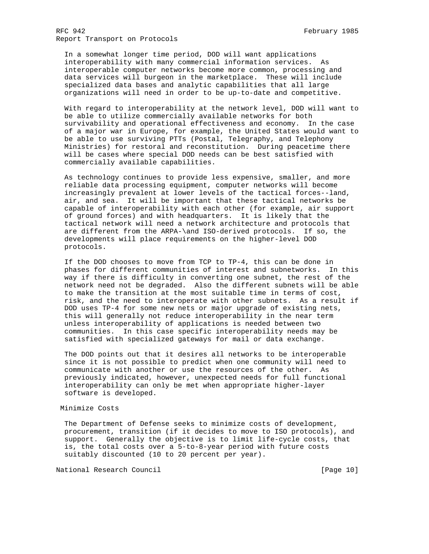In a somewhat longer time period, DOD will want applications interoperability with many commercial information services. As interoperable computer networks become more common, processing and data services will burgeon in the marketplace. These will include specialized data bases and analytic capabilities that all large organizations will need in order to be up-to-date and competitive.

 With regard to interoperability at the network level, DOD will want to be able to utilize commercially available networks for both survivability and operational effectiveness and economy. In the case of a major war in Europe, for example, the United States would want to be able to use surviving PTTs (Postal, Telegraphy, and Telephony Ministries) for restoral and reconstitution. During peacetime there will be cases where special DOD needs can be best satisfied with commercially available capabilities.

 As technology continues to provide less expensive, smaller, and more reliable data processing equipment, computer networks will become increasingly prevalent at lower levels of the tactical forces--land, air, and sea. It will be important that these tactical networks be capable of interoperability with each other (for example, air support of ground forces) and with headquarters. It is likely that the tactical network will need a network architecture and protocols that are different from the ARPA-\and ISO-derived protocols. If so, the developments will place requirements on the higher-level DOD protocols.

 If the DOD chooses to move from TCP to TP-4, this can be done in phases for different communities of interest and subnetworks. In this way if there is difficulty in converting one subnet, the rest of the network need not be degraded. Also the different subnets will be able to make the transition at the most suitable time in terms of cost, risk, and the need to interoperate with other subnets. As a result if DOD uses TP-4 for some new nets or major upgrade of existing nets, this will generally not reduce interoperability in the near term unless interoperability of applications is needed between two communities. In this case specific interoperability needs may be satisfied with specialized gateways for mail or data exchange.

 The DOD points out that it desires all networks to be interoperable since it is not possible to predict when one community will need to communicate with another or use the resources of the other. As previously indicated, however, unexpected needs for full functional interoperability can only be met when appropriate higher-layer software is developed.

## Minimize Costs

 The Department of Defense seeks to minimize costs of development, procurement, transition (if it decides to move to ISO protocols), and support. Generally the objective is to limit life-cycle costs, that is, the total costs over a 5-to-8-year period with future costs suitably discounted (10 to 20 percent per year).

National Research Council **Example 20** (Page 10)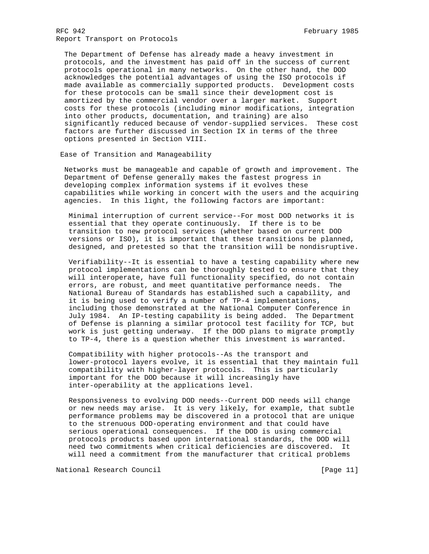The Department of Defense has already made a heavy investment in protocols, and the investment has paid off in the success of current protocols operational in many networks. On the other hand, the DOD acknowledges the potential advantages of using the ISO protocols if made available as commercially supported products. Development costs for these protocols can be small since their development cost is amortized by the commercial vendor over a larger market. Support costs for these protocols (including minor modifications, integration into other products, documentation, and training) are also significantly reduced because of vendor-supplied services. These cost factors are further discussed in Section IX in terms of the three options presented in Section VIII.

Ease of Transition and Manageability

 Networks must be manageable and capable of growth and improvement. The Department of Defense generally makes the fastest progress in developing complex information systems if it evolves these capabilities while working in concert with the users and the acquiring agencies. In this light, the following factors are important:

 Minimal interruption of current service--For most DOD networks it is essential that they operate continuously. If there is to be transition to new protocol services (whether based on current DOD versions or ISO), it is important that these transitions be planned, designed, and pretested so that the transition will be nondisruptive.

 Verifiability--It is essential to have a testing capability where new protocol implementations can be thoroughly tested to ensure that they will interoperate, have full functionality specified, do not contain errors, are robust, and meet quantitative performance needs. The National Bureau of Standards has established such a capability, and it is being used to verify a number of TP-4 implementations, including those demonstrated at the National Computer Conference in July 1984. An IP-testing capability is being added. The Department of Defense is planning a similar protocol test facility for TCP, but work is just getting underway. If the DOD plans to migrate promptly to TP-4, there is a question whether this investment is warranted.

 Compatibility with higher protocols--As the transport and lower-protocol layers evolve, it is essential that they maintain full compatibility with higher-layer protocols. This is particularly important for the DOD because it will increasingly have inter-operability at the applications level.

 Responsiveness to evolving DOD needs--Current DOD needs will change or new needs may arise. It is very likely, for example, that subtle performance problems may be discovered in a protocol that are unique to the strenuous DOD-operating environment and that could have serious operational consequences. If the DOD is using commercial protocols products based upon international standards, the DOD will need two commitments when critical deficiencies are discovered. It will need a commitment from the manufacturer that critical problems

National Research Council **Example 20** (Page 11)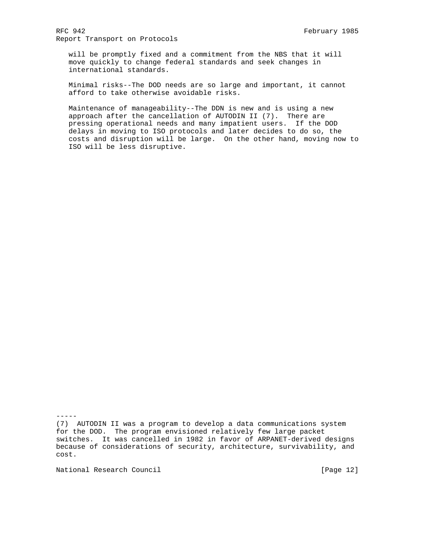will be promptly fixed and a commitment from the NBS that it will move quickly to change federal standards and seek changes in international standards.

 Minimal risks--The DOD needs are so large and important, it cannot afford to take otherwise avoidable risks.

 Maintenance of manageability--The DDN is new and is using a new approach after the cancellation of AUTODIN II (7). There are pressing operational needs and many impatient users. If the DOD delays in moving to ISO protocols and later decides to do so, the costs and disruption will be large. On the other hand, moving now to ISO will be less disruptive.

 $- - -$ 

(7) AUTODIN II was a program to develop a data communications system for the DOD. The program envisioned relatively few large packet switches. It was cancelled in 1982 in favor of ARPANET-derived designs because of considerations of security, architecture, survivability, and cost.

National Research Council **Example 20** (Page 12)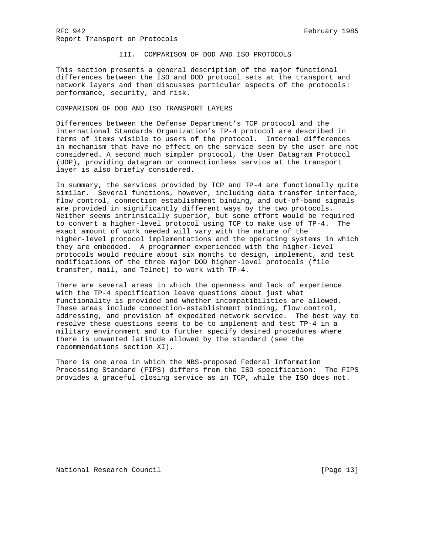III. COMPARISON OF DOD AND ISO PROTOCOLS

This section presents a general description of the major functional differences between the ISO and DOD protocol sets at the transport and network layers and then discusses particular aspects of the protocols: performance, security, and risk.

## COMPARISON OF DOD AND ISO TRANSPORT LAYERS

Differences between the Defense Department's TCP protocol and the International Standards Organization's TP-4 protocol are described in terms of items visible to users of the protocol. Internal differences in mechanism that have no effect on the service seen by the user are not considered. A second much simpler protocol, the User Datagram Protocol (UDP), providing datagram or connectionless service at the transport layer is also briefly considered.

In summary, the services provided by TCP and TP-4 are functionally quite similar. Several functions, however, including data transfer interface, flow control, connection establishment binding, and out-of-band signals are provided in significantly different ways by the two protocols. Neither seems intrinsically superior, but some effort would be required to convert a higher-level protocol using TCP to make use of TP-4. The exact amount of work needed will vary with the nature of the higher-level protocol implementations and the operating systems in which they are embedded. A programmer experienced with the higher-level protocols would require about six months to design, implement, and test modifications of the three major DOD higher-level protocols (file transfer, mail, and Telnet) to work with TP-4.

There are several areas in which the openness and lack of experience with the TP-4 specification leave questions about just what functionality is provided and whether incompatibilities are allowed. These areas include connection-establishment binding, flow control, addressing, and provision of expedited network service. The best way to resolve these questions seems to be to implement and test TP-4 in a military environment and to further specify desired procedures where there is unwanted latitude allowed by the standard (see the recommendations section XI).

There is one area in which the NBS-proposed Federal Information Processing Standard (FIPS) differs from the ISO specification: The FIPS provides a graceful closing service as in TCP, while the ISO does not.

National Research Council **Example 20** (Page 13)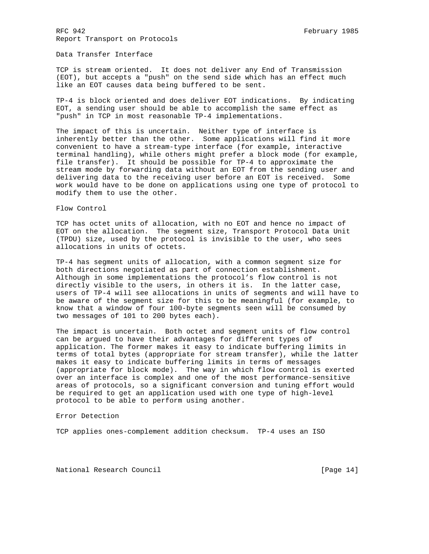Data Transfer Interface

TCP is stream oriented. It does not deliver any End of Transmission (EOT), but accepts a "push" on the send side which has an effect much like an EOT causes data being buffered to be sent.

TP-4 is block oriented and does deliver EOT indications. By indicating EOT, a sending user should be able to accomplish the same effect as "push" in TCP in most reasonable TP-4 implementations.

The impact of this is uncertain. Neither type of interface is inherently better than the other. Some applications will find it more convenient to have a stream-type interface (for example, interactive terminal handling), while others might prefer a block mode (for example, file transfer). It should be possible for TP-4 to approximate the stream mode by forwarding data without an EOT from the sending user and delivering data to the receiving user before an EOT is received. Some work would have to be done on applications using one type of protocol to modify them to use the other.

Flow Control

TCP has octet units of allocation, with no EOT and hence no impact of EOT on the allocation. The segment size, Transport Protocol Data Unit (TPDU) size, used by the protocol is invisible to the user, who sees allocations in units of octets.

TP-4 has segment units of allocation, with a common segment size for both directions negotiated as part of connection establishment. Although in some implementations the protocol's flow control is not directly visible to the users, in others it is. In the latter case, users of TP-4 will see allocations in units of segments and will have to be aware of the segment size for this to be meaningful (for example, to know that a window of four 100-byte segments seen will be consumed by two messages of 101 to 200 bytes each).

The impact is uncertain. Both octet and segment units of flow control can be argued to have their advantages for different types of application. The former makes it easy to indicate buffering limits in terms of total bytes (appropriate for stream transfer), while the latter makes it easy to indicate buffering limits in terms of messages (appropriate for block mode). The way in which flow control is exerted over an interface is complex and one of the most performance-sensitive areas of protocols, so a significant conversion and tuning effort would be required to get an application used with one type of high-level protocol to be able to perform using another.

Error Detection

TCP applies ones-complement addition checksum. TP-4 uses an ISO

National Research Council **Example 2018** [Page 14]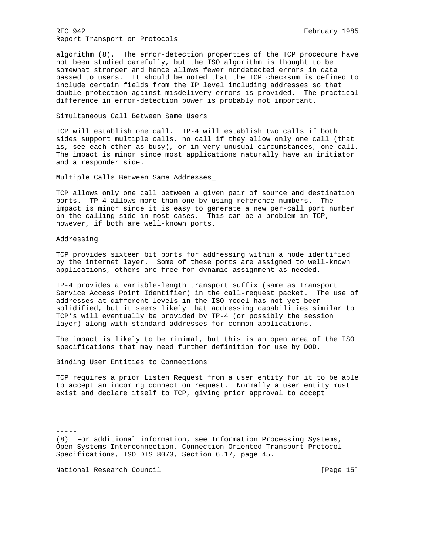algorithm (8). The error-detection properties of the TCP procedure have not been studied carefully, but the ISO algorithm is thought to be somewhat stronger and hence allows fewer nondetected errors in data passed to users. It should be noted that the TCP checksum is defined to include certain fields from the IP level including addresses so that double protection against misdelivery errors is provided. The practical difference in error-detection power is probably not important.

Simultaneous Call Between Same Users

TCP will establish one call. TP-4 will establish two calls if both sides support multiple calls, no call if they allow only one call (that is, see each other as busy), or in very unusual circumstances, one call. The impact is minor since most applications naturally have an initiator and a responder side.

Multiple Calls Between Same Addresses\_

TCP allows only one call between a given pair of source and destination ports. TP-4 allows more than one by using reference numbers. The impact is minor since it is easy to generate a new per-call port number on the calling side in most cases. This can be a problem in TCP, however, if both are well-known ports.

Addressing

TCP provides sixteen bit ports for addressing within a node identified by the internet layer. Some of these ports are assigned to well-known applications, others are free for dynamic assignment as needed.

TP-4 provides a variable-length transport suffix (same as Transport Service Access Point Identifier) in the call-request packet. The use of addresses at different levels in the ISO model has not yet been solidified, but it seems likely that addressing capabilities similar to TCP's will eventually be provided by TP-4 (or possibly the session layer) along with standard addresses for common applications.

The impact is likely to be minimal, but this is an open area of the ISO specifications that may need further definition for use by DOD.

Binding User Entities to Connections

TCP requires a prior Listen Request from a user entity for it to be able to accept an incoming connection request. Normally a user entity must exist and declare itself to TCP, giving prior approval to accept

-----

(8) For additional information, see Information Processing Systems, Open Systems Interconnection, Connection-Oriented Transport Protocol Specifications, ISO DIS 8073, Section 6.17, page 45.

National Research Council **Example 20** (Page 15)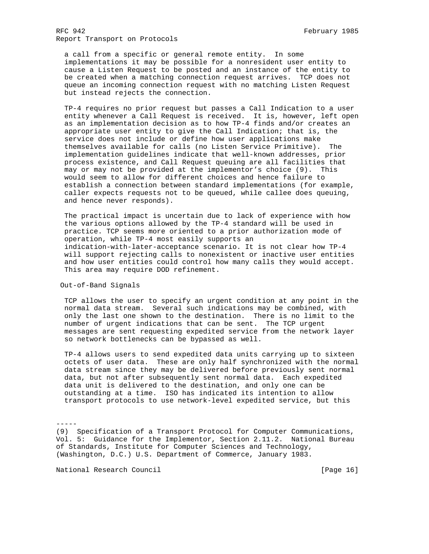a call from a specific or general remote entity. In some implementations it may be possible for a nonresident user entity to cause a Listen Request to be posted and an instance of the entity to be created when a matching connection request arrives. TCP does not queue an incoming connection request with no matching Listen Request but instead rejects the connection.

 TP-4 requires no prior request but passes a Call Indication to a user entity whenever a Call Request is received. It is, however, left open as an implementation decision as to how TP-4 finds and/or creates an appropriate user entity to give the Call Indication; that is, the service does not include or define how user applications make themselves available for calls (no Listen Service Primitive). The implementation guidelines indicate that well-known addresses, prior process existence, and Call Request queuing are all facilities that may or may not be provided at the implementor's choice (9). This would seem to allow for different choices and hence failure to establish a connection between standard implementations (for example, caller expects requests not to be queued, while callee does queuing, and hence never responds).

 The practical impact is uncertain due to lack of experience with how the various options allowed by the TP-4 standard will be used in practice. TCP seems more oriented to a prior authorization mode of operation, while TP-4 most easily supports an indication-with-later-acceptance scenario. It is not clear how TP-4 will support rejecting calls to nonexistent or inactive user entities and how user entities could control how many calls they would accept. This area may require DOD refinement.

Out-of-Band Signals

 TCP allows the user to specify an urgent condition at any point in the normal data stream. Several such indications may be combined, with only the last one shown to the destination. There is no limit to the number of urgent indications that can be sent. The TCP urgent messages are sent requesting expedited service from the network layer so network bottlenecks can be bypassed as well.

 TP-4 allows users to send expedited data units carrying up to sixteen octets of user data. These are only half synchronized with the normal data stream since they may be delivered before previously sent normal data, but not after subsequently sent normal data. Each expedited data unit is delivered to the destination, and only one can be outstanding at a time. ISO has indicated its intention to allow transport protocols to use network-level expedited service, but this

-----

(9) Specification of a Transport Protocol for Computer Communications, Vol. 5: Guidance for the Implementor, Section 2.11.2. National Bureau of Standards, Institute for Computer Sciences and Technology, (Washington, D.C.) U.S. Department of Commerce, January 1983.

National Research Council **Example 20** (Page 16)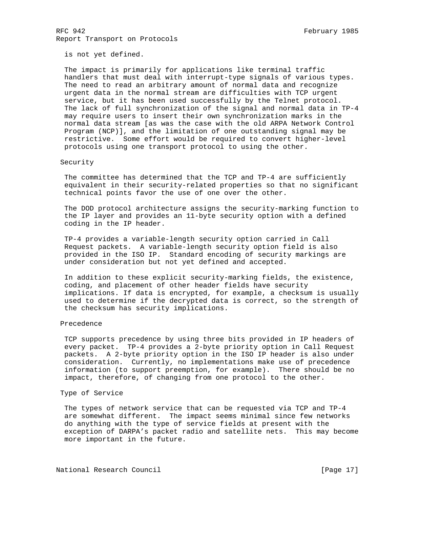is not yet defined.

 The impact is primarily for applications like terminal traffic handlers that must deal with interrupt-type signals of various types. The need to read an arbitrary amount of normal data and recognize urgent data in the normal stream are difficulties with TCP urgent service, but it has been used successfully by the Telnet protocol. The lack of full synchronization of the signal and normal data in TP-4 may require users to insert their own synchronization marks in the normal data stream [as was the case with the old ARPA Network Control Program (NCP)], and the limitation of one outstanding signal may be restrictive. Some effort would be required to convert higher-level protocols using one transport protocol to using the other.

#### Security

 The committee has determined that the TCP and TP-4 are sufficiently equivalent in their security-related properties so that no significant technical points favor the use of one over the other.

 The DOD protocol architecture assigns the security-marking function to the IP layer and provides an 11-byte security option with a defined coding in the IP header.

 TP-4 provides a variable-length security option carried in Call Request packets. A variable-length security option field is also provided in the ISO IP. Standard encoding of security markings are under consideration but not yet defined and accepted.

 In addition to these explicit security-marking fields, the existence, coding, and placement of other header fields have security implications. If data is encrypted, for example, a checksum is usually used to determine if the decrypted data is correct, so the strength of the checksum has security implications.

## Precedence

 TCP supports precedence by using three bits provided in IP headers of every packet. TP-4 provides a 2-byte priority option in Call Request packets. A 2-byte priority option in the ISO IP header is also under consideration. Currently, no implementations make use of precedence information (to support preemption, for example). There should be no impact, therefore, of changing from one protocol to the other.

## Type of Service

 The types of network service that can be requested via TCP and TP-4 are somewhat different. The impact seems minimal since few networks do anything with the type of service fields at present with the exception of DARPA's packet radio and satellite nets. This may become more important in the future.

National Research Council **Example 20** (Page 17)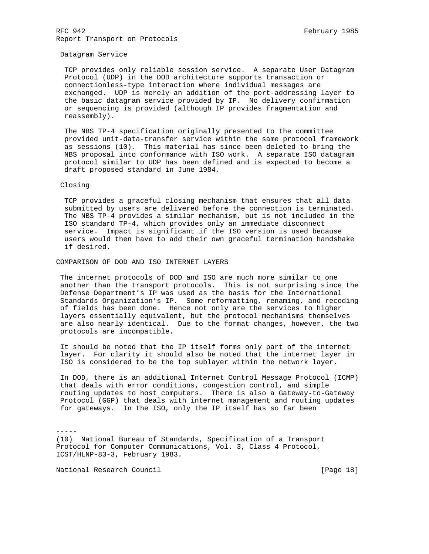Datagram Service

 TCP provides only reliable session service. A separate User Datagram Protocol (UDP) in the DOD architecture supports transaction or connectionless-type interaction where individual messages are exchanged. UDP is merely an addition of the port-addressing layer to the basic datagram service provided by IP. No delivery confirmation or sequencing is provided (although IP provides fragmentation and reassembly).

 The NBS TP-4 specification originally presented to the committee provided unit-data-transfer service within the same protocol framework as sessions (10). This material has since been deleted to bring the NBS proposal into conformance with ISO work. A separate ISO datagram protocol similar to UDP has been defined and is expected to become a draft proposed standard in June 1984.

## Closing

 TCP provides a graceful closing mechanism that ensures that all data submitted by users are delivered before the connection is terminated. The NBS TP-4 provides a similar mechanism, but is not included in the ISO standard TP-4, which provides only an immediate disconnect service. Impact is significant if the ISO version is used because users would then have to add their own graceful termination handshake if desired.

COMPARISON OF DOD AND ISO INTERNET LAYERS

 The internet protocols of DOD and ISO are much more similar to one another than the transport protocols. This is not surprising since the Defense Department's IP was used as the basis for the International Standards Organization's IP. Some reformatting, renaming, and recoding of fields has been done. Hence not only are the services to higher layers essentially equivalent, but the protocol mechanisms themselves are also nearly identical. Due to the format changes, however, the two protocols are incompatible.

 It should be noted that the IP itself forms only part of the internet layer. For clarity it should also be noted that the internet layer in ISO is considered to be the top sublayer within the network layer.

 In DOD, there is an additional Internet Control Message Protocol (ICMP) that deals with error conditions, congestion control, and simple routing updates to host computers. There is also a Gateway-to-Gateway Protocol (GGP) that deals with internet management and routing updates for gateways. In the ISO, only the IP itself has so far been

-----

(10) National Bureau of Standards, Specification of a Transport Protocol for Computer Communications, Vol. 3, Class 4 Protocol, ICST/HLNP-83-3, February 1983.

National Research Council **Example 20** (Page 18)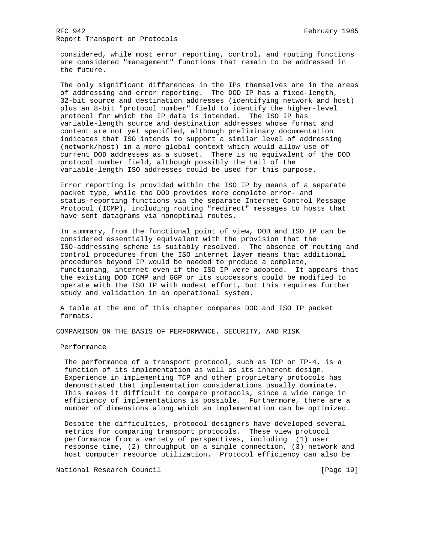considered, while most error reporting, control, and routing functions are considered "management" functions that remain to be addressed in the future.

 The only significant differences in the IPs themselves are in the areas of addressing and error reporting. The DOD IP has a fixed-length, 32-bit source and destination addresses (identifying network and host) plus an 8-bit "protocol number" field to identify the higher-level protocol for which the IP data is intended. The ISO IP has variable-length source and destination addresses whose format and content are not yet specified, although preliminary documentation indicates that ISO intends to support a similar level of addressing (network/host) in a more global context which would allow use of current DOD addresses as a subset. There is no equivalent of the DOD protocol number field, although possibly the tail of the variable-length ISO addresses could be used for this purpose.

 Error reporting is provided within the ISO IP by means of a separate packet type, while the DOD provides more complete error- and status-reporting functions via the separate Internet Control Message Protocol (ICMP), including routing "redirect" messages to hosts that have sent datagrams via nonoptimal routes.

 In summary, from the functional point of view, DOD and ISO IP can be considered essentially equivalent with the provision that the ISO-addressing scheme is suitably resolved. The absence of routing and control procedures from the ISO internet layer means that additional procedures beyond IP would be needed to produce a complete, functioning, internet even if the ISO IP were adopted. It appears that the existing DOD ICMP and GGP or its successors could be modified to operate with the ISO IP with modest effort, but this requires further study and validation in an operational system.

 A table at the end of this chapter compares DOD and ISO IP packet formats.

COMPARISON ON THE BASIS OF PERFORMANCE, SECURITY, AND RISK

#### Performance

 The performance of a transport protocol, such as TCP or TP-4, is a function of its implementation as well as its inherent design. Experience in implementing TCP and other proprietary protocols has demonstrated that implementation considerations usually dominate. This makes it difficult to compare protocols, since a wide range in efficiency of implementations is possible. Furthermore, there are a number of dimensions along which an implementation can be optimized.

 Despite the difficulties, protocol designers have developed several metrics for comparing transport protocols. These view protocol performance from a variety of perspectives, including (1) user response time, (2) throughput on a single connection, (3) network and host computer resource utilization. Protocol efficiency can also be

National Research Council **Example 20** (Page 19)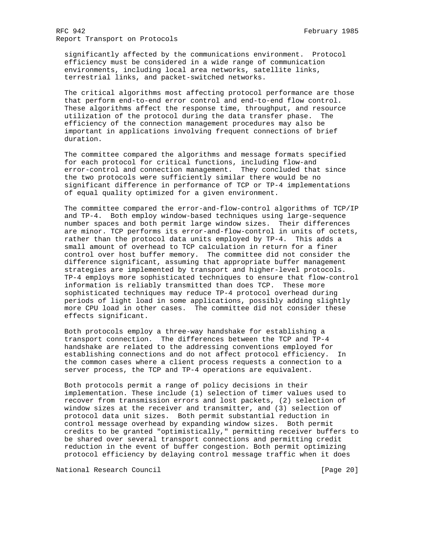significantly affected by the communications environment. Protocol efficiency must be considered in a wide range of communication environments, including local area networks, satellite links, terrestrial links, and packet-switched networks.

 The critical algorithms most affecting protocol performance are those that perform end-to-end error control and end-to-end flow control. These algorithms affect the response time, throughput, and resource utilization of the protocol during the data transfer phase. The efficiency of the connection management procedures may also be important in applications involving frequent connections of brief duration.

 The committee compared the algorithms and message formats specified for each protocol for critical functions, including flow-and error-control and connection management. They concluded that since the two protocols were sufficiently similar there would be no significant difference in performance of TCP or TP-4 implementations of equal quality optimized for a given environment.

 The committee compared the error-and-flow-control algorithms of TCP/IP and TP-4. Both employ window-based techniques using large-sequence number spaces and both permit large window sizes. Their differences are minor. TCP performs its error-and-flow-control in units of octets, rather than the protocol data units employed by TP-4. This adds a small amount of overhead to TCP calculation in return for a finer control over host buffer memory. The committee did not consider the difference significant, assuming that appropriate buffer management strategies are implemented by transport and higher-level protocols. TP-4 employs more sophisticated techniques to ensure that flow-control information is reliably transmitted than does TCP. These more sophisticated techniques may reduce TP-4 protocol overhead during periods of light load in some applications, possibly adding slightly more CPU load in other cases. The committee did not consider these effects significant.

 Both protocols employ a three-way handshake for establishing a transport connection. The differences between the TCP and TP-4 handshake are related to the addressing conventions employed for establishing connections and do not affect protocol efficiency. In the common cases where a client process requests a connection to a server process, the TCP and TP-4 operations are equivalent.

 Both protocols permit a range of policy decisions in their implementation. These include (1) selection of timer values used to recover from transmission errors and lost packets, (2) selection of window sizes at the receiver and transmitter, and (3) selection of protocol data unit sizes. Both permit substantial reduction in control message overhead by expanding window sizes. Both permit credits to be granted "optimistically," permitting receiver buffers to be shared over several transport connections and permitting credit reduction in the event of buffer congestion. Both permit optimizing protocol efficiency by delaying control message traffic when it does

National Research Council **Example 20** and  $\begin{bmatrix} Page & 20 \end{bmatrix}$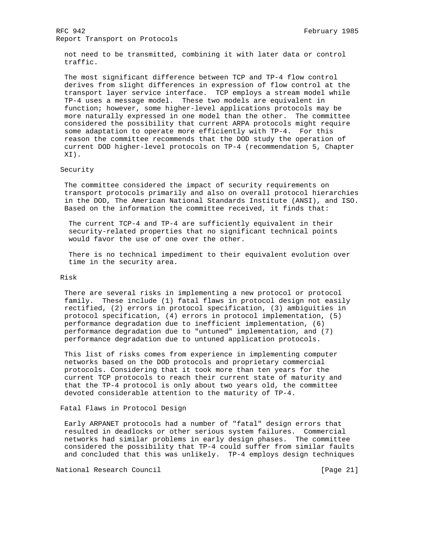not need to be transmitted, combining it with later data or control traffic.

 The most significant difference between TCP and TP-4 flow control derives from slight differences in expression of flow control at the transport layer service interface. TCP employs a stream model while TP-4 uses a message model. These two models are equivalent in function; however, some higher-level applications protocols may be more naturally expressed in one model than the other. The committee considered the possibility that current ARPA protocols might require some adaptation to operate more efficiently with TP-4. For this reason the committee recommends that the DOD study the operation of current DOD higher-level protocols on TP-4 (recommendation 5, Chapter XI).

## Security

 The committee considered the impact of security requirements on transport protocols primarily and also on overall protocol hierarchies in the DOD, The American National Standards Institute (ANSI), and ISO. Based on the information the committee received, it finds that:

 The current TCP-4 and TP-4 are sufficiently equivalent in their security-related properties that no significant technical points would favor the use of one over the other.

 There is no technical impediment to their equivalent evolution over time in the security area.

### Risk

 There are several risks in implementing a new protocol or protocol family. These include (1) fatal flaws in protocol design not easily rectified, (2) errors in protocol specification, (3) ambiguities in protocol specification, (4) errors in protocol implementation, (5) performance degradation due to inefficient implementation, (6) performance degradation due to "untuned" implementation, and (7) performance degradation due to untuned application protocols.

 This list of risks comes from experience in implementing computer networks based on the DOD protocols and proprietary commercial protocols. Considering that it took more than ten years for the current TCP protocols to reach their current state of maturity and that the TP-4 protocol is only about two years old, the committee devoted considerable attention to the maturity of TP-4.

Fatal Flaws in Protocol Design

 Early ARPANET protocols had a number of "fatal" design errors that resulted in deadlocks or other serious system failures. Commercial networks had similar problems in early design phases. The committee considered the possibility that TP-4 could suffer from similar faults and concluded that this was unlikely. TP-4 employs design techniques

National Research Council **Example 21** and  $[Page 21]$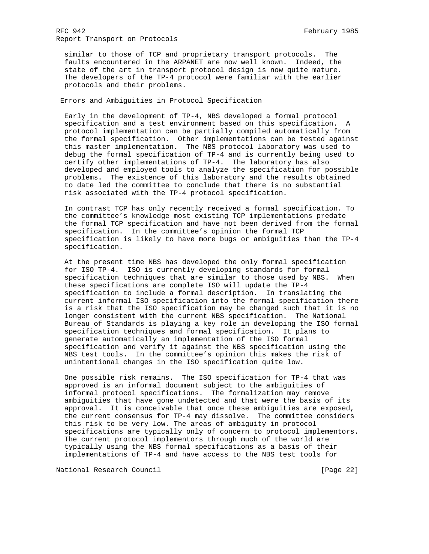faults encountered in the ARPANET are now well known. Indeed, the state of the art in transport protocol design is now quite mature. The developers of the TP-4 protocol were familiar with the earlier protocols and their problems.

# Errors and Ambiguities in Protocol Specification

 Early in the development of TP-4, NBS developed a formal protocol specification and a test environment based on this specification. A protocol implementation can be partially compiled automatically from the formal specification. Other implementations can be tested against this master implementation. The NBS protocol laboratory was used to debug the formal specification of TP-4 and is currently being used to certify other implementations of TP-4. The laboratory has also developed and employed tools to analyze the specification for possible problems. The existence of this laboratory and the results obtained to date led the committee to conclude that there is no substantial risk associated with the TP-4 protocol specification.

 In contrast TCP has only recently received a formal specification. To the committee's knowledge most existing TCP implementations predate the formal TCP specification and have not been derived from the formal specification. In the committee's opinion the formal TCP specification is likely to have more bugs or ambiguities than the TP-4 specification.

 At the present time NBS has developed the only formal specification for ISO TP-4. ISO is currently developing standards for formal specification techniques that are similar to those used by NBS. When these specifications are complete ISO will update the TP-4 specification to include a formal description. In translating the current informal ISO specification into the formal specification there is a risk that the ISO specification may be changed such that it is no longer consistent with the current NBS specification. The National Bureau of Standards is playing a key role in developing the ISO formal specification techniques and formal specification. It plans to generate automatically an implementation of the ISO formal specification and verify it against the NBS specification using the NBS test tools. In the committee's opinion this makes the risk of unintentional changes in the ISO specification quite low.

 One possible risk remains. The ISO specification for TP-4 that was approved is an informal document subject to the ambiguities of informal protocol specifications. The formalization may remove ambiguities that have gone undetected and that were the basis of its approval. It is conceivable that once these ambiguities are exposed, the current consensus for TP-4 may dissolve. The committee considers this risk to be very low. The areas of ambiguity in protocol specifications are typically only of concern to protocol implementors. The current protocol implementors through much of the world are typically using the NBS formal specifications as a basis of their implementations of TP-4 and have access to the NBS test tools for

National Research Council **Example 22** and  $\begin{bmatrix} Page & 22 \end{bmatrix}$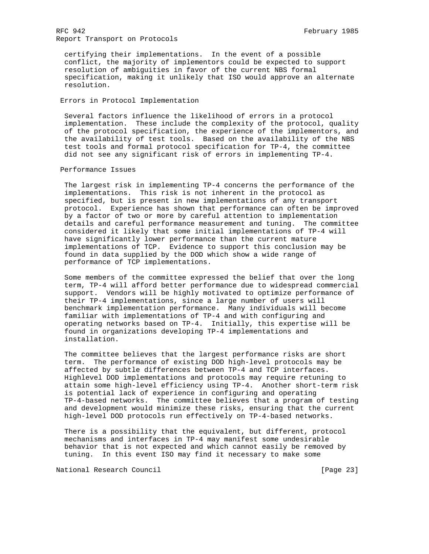certifying their implementations. In the event of a possible conflict, the majority of implementors could be expected to support resolution of ambiguities in favor of the current NBS formal specification, making it unlikely that ISO would approve an alternate resolution.

## Errors in Protocol Implementation

 Several factors influence the likelihood of errors in a protocol implementation. These include the complexity of the protocol, quality of the protocol specification, the experience of the implementors, and the availability of test tools. Based on the availability of the NBS test tools and formal protocol specification for TP-4, the committee did not see any significant risk of errors in implementing TP-4.

## Performance Issues

 The largest risk in implementing TP-4 concerns the performance of the implementations. This risk is not inherent in the protocol as specified, but is present in new implementations of any transport protocol. Experience has shown that performance can often be improved by a factor of two or more by careful attention to implementation details and careful performance measurement and tuning. The committee considered it likely that some initial implementations of TP-4 will have significantly lower performance than the current mature implementations of TCP. Evidence to support this conclusion may be found in data supplied by the DOD which show a wide range of performance of TCP implementations.

 Some members of the committee expressed the belief that over the long term, TP-4 will afford better performance due to widespread commercial support. Vendors will be highly motivated to optimize performance of their TP-4 implementations, since a large number of users will benchmark implementation performance. Many individuals will become familiar with implementations of TP-4 and with configuring and operating networks based on TP-4. Initially, this expertise will be found in organizations developing TP-4 implementations and installation.

 The committee believes that the largest performance risks are short term. The performance of existing DOD high-level protocols may be affected by subtle differences between TP-4 and TCP interfaces. Highlevel DOD implementations and protocols may require retuning to attain some high-level efficiency using TP-4. Another short-term risk is potential lack of experience in configuring and operating TP-4-based networks. The committee believes that a program of testing and development would minimize these risks, ensuring that the current high-level DOD protocols run effectively on TP-4-based networks.

 There is a possibility that the equivalent, but different, protocol mechanisms and interfaces in TP-4 may manifest some undesirable behavior that is not expected and which cannot easily be removed by tuning. In this event ISO may find it necessary to make some

National Research Council **Example 23** and  $\begin{bmatrix} Page & 23 \end{bmatrix}$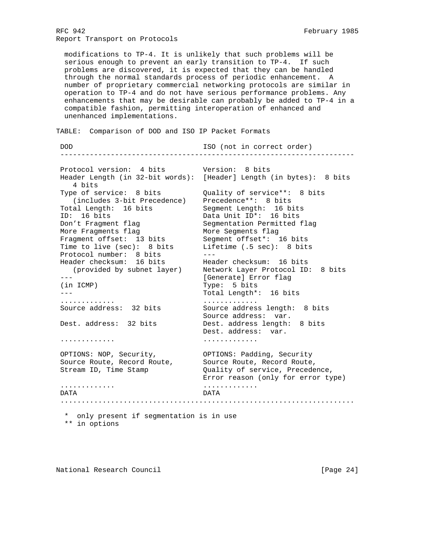Report Transport on Protocols modifications to TP-4. It is unlikely that such problems will be serious enough to prevent an early transition to TP-4. If such problems are discovered, it is expected that they can be handled through the normal standards process of periodic enhancement. A number of proprietary commercial networking protocols are similar in operation to TP-4 and do not have serious performance problems. Any enhancements that may be desirable can probably be added to TP-4 in a compatible fashion, permitting interoperation of enhanced and unenhanced implementations. TABLE: Comparison of DOD and ISO IP Packet Formats DOD 1SO (not in correct order) ---------------------------------------------------------------------- Protocol version: 4 bits Version: 8 bits Header Length (in 32-bit words): [Header] Length (in bytes): 8 bits 4 bits Type of service: 8 bits Quality of service\*\*: 8 bits (includes 3-bit Precedence) Precedence\*\*: 8 bits Total Length: 16 bits Segment Length: 16 bits ID: 16 bits Data Unit ID\*: 16 bits Don't Fragment flag Segmentation Permitted flag More Fragments flag More Segments flag Fragment offset: 13 bits Segment offset\*: 16 bits Time to live (sec): 8 bits Lifetime (.5 sec): 8 bits Protocol number: 8 bits ---Header checksum: 16 bits Meader checksum: 16 bits (provided by subnet layer) Network Layer Protocol ID: 8 bits [Generate] Error flag (in ICMP) Type: 5 bits --- Total Length\*: 16 bits ............. ............. Source address: 32 bits Source address length: 8 bits Source address: var. Dest. address: 32 bits Dest. address length: 8 bits Dest. address: var. ............. ............. OPTIONS: NOP, Security, OPTIONS: Padding, Security Source Route, Record Route, Source Route, Record Route, Stream ID, Time Stamp Quality of service, Precedence, Error reason (only for error type)

RFC 942 February 1985

 ............. ............. DATA DATA ...................................................................... \* only present if segmentation is in use

\*\* in options

National Research Council **Example 24** and  $[Page 24]$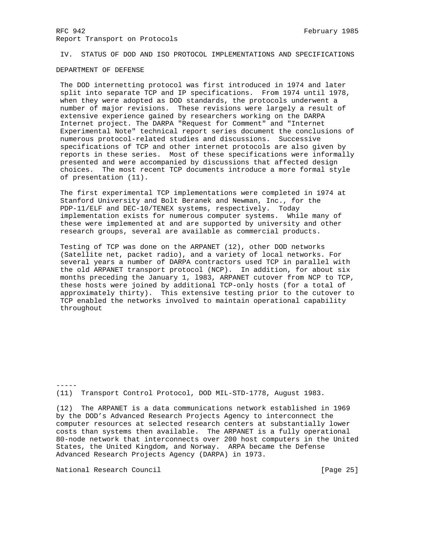IV. STATUS OF DOD AND ISO PROTOCOL IMPLEMENTATIONS AND SPECIFICATIONS

### DEPARTMENT OF DEFENSE

 The DOD internetting protocol was first introduced in 1974 and later split into separate TCP and IP specifications. From 1974 until 1978, when they were adopted as DOD standards, the protocols underwent a number of major revisions. These revisions were largely a result of extensive experience gained by researchers working on the DARPA Internet project. The DARPA "Request for Comment" and "Internet Experimental Note" technical report series document the conclusions of numerous protocol-related studies and discussions. Successive specifications of TCP and other internet protocols are also given by reports in these series. Most of these specifications were informally presented and were accompanied by discussions that affected design choices. The most recent TCP documents introduce a more formal style of presentation (11).

 The first experimental TCP implementations were completed in 1974 at Stanford University and Bolt Beranek and Newman, Inc., for the PDP-11/ELF and DEC-10/TENEX systems, respectively. Today implementation exists for numerous computer systems. While many of these were implemented at and are supported by university and other research groups, several are available as commercial products.

 Testing of TCP was done on the ARPANET (12), other DOD networks (Satellite net, packet radio), and a variety of local networks. For several years a number of DARPA contractors used TCP in parallel with the old ARPANET transport protocol (NCP). In addition, for about six months preceding the January 1, l983, ARPANET cutover from NCP to TCP, these hosts were joined by additional TCP-only hosts (for a total of approximately thirty). This extensive testing prior to the cutover to TCP enabled the networks involved to maintain operational capability throughout

-----

(11) Transport Control Protocol, DOD MIL-STD-1778, August 1983.

(12) The ARPANET is a data communications network established in 1969 by the DOD's Advanced Research Projects Agency to interconnect the computer resources at selected research centers at substantially lower costs than systems then available. The ARPANET is a fully operational 80-node network that interconnects over 200 host computers in the United States, the United Kingdom, and Norway. ARPA became the Defense Advanced Research Projects Agency (DARPA) in 1973.

National Research Council **Example 26** (Page 25)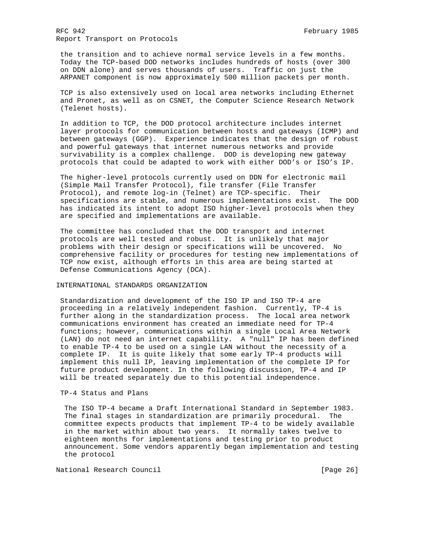the transition and to achieve normal service levels in a few months. Today the TCP-based DOD networks includes hundreds of hosts (over 300 on DDN alone) and serves thousands of users. Traffic on just the ARPANET component is now approximately 500 million packets per month.

 TCP is also extensively used on local area networks including Ethernet and Pronet, as well as on CSNET, the Computer Science Research Network (Telenet hosts).

 In addition to TCP, the DOD protocol architecture includes internet layer protocols for communication between hosts and gateways (ICMP) and between gateways (GGP). Experience indicates that the design of robust and powerful gateways that internet numerous networks and provide survivability is a complex challenge. DOD is developing new gateway protocols that could be adapted to work with either DOD's or ISO's IP.

 The higher-level protocols currently used on DDN for electronic mail (Simple Mail Transfer Protocol), file transfer (File Transfer Protocol), and remote log-in (Telnet) are TCP-specific. Their specifications are stable, and numerous implementations exist. The DOD has indicated its intent to adopt ISO higher-level protocols when they are specified and implementations are available.

 The committee has concluded that the DOD transport and internet protocols are well tested and robust. It is unlikely that major problems with their design or specifications will be uncovered. No comprehensive facility or procedures for testing new implementations of TCP now exist, although efforts in this area are being started at Defense Communications Agency (DCA).

### INTERNATIONAL STANDARDS ORGANIZATION

 Standardization and development of the ISO IP and ISO TP-4 are proceeding in a relatively independent fashion. Currently, TP-4 is further along in the standardization process. The local area network communications environment has created an immediate need for TP-4 functions; however, communications within a single Local Area Network (LAN) do not need an internet capability. A "null" IP has been defined to enable TP-4 to be used on a single LAN without the necessity of a complete IP. It is quite likely that some early TP-4 products will implement this null IP, leaving implementation of the complete IP for future product development. In the following discussion, TP-4 and IP will be treated separately due to this potential independence.

# TP-4 Status and Plans

 The ISO TP-4 became a Draft International Standard in September 1983. The final stages in standardization are primarily procedural. The committee expects products that implement TP-4 to be widely available in the market within about two years. It normally takes twelve to eighteen months for implementations and testing prior to product announcement. Some vendors apparently began implementation and testing the protocol

National Research Council **Example 26** and  $\begin{bmatrix} Page & 26 \end{bmatrix}$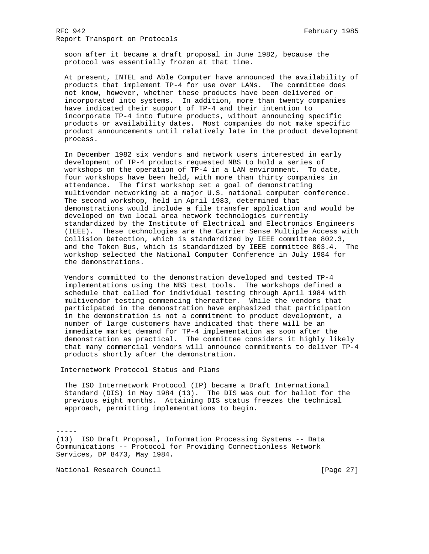soon after it became a draft proposal in June 1982, because the protocol was essentially frozen at that time.

 At present, INTEL and Able Computer have announced the availability of products that implement TP-4 for use over LANs. The committee does not know, however, whether these products have been delivered or incorporated into systems. In addition, more than twenty companies have indicated their support of TP-4 and their intention to incorporate TP-4 into future products, without announcing specific products or availability dates. Most companies do not make specific product announcements until relatively late in the product development process.

 In December 1982 six vendors and network users interested in early development of TP-4 products requested NBS to hold a series of workshops on the operation of TP-4 in a LAN environment. To date, four workshops have been held, with more than thirty companies in attendance. The first workshop set a goal of demonstrating multivendor networking at a major U.S. national computer conference. The second workshop, held in April 1983, determined that demonstrations would include a file transfer application and would be developed on two local area network technologies currently standardized by the Institute of Electrical and Electronics Engineers (IEEE). These technologies are the Carrier Sense Multiple Access with Collision Detection, which is standardized by IEEE committee 802.3, and the Token Bus, which is standardized by IEEE committee 803.4. The workshop selected the National Computer Conference in July 1984 for the demonstrations.

 Vendors committed to the demonstration developed and tested TP-4 implementations using the NBS test tools. The workshops defined a schedule that called for individual testing through April 1984 with multivendor testing commencing thereafter. While the vendors that participated in the demonstration have emphasized that participation in the demonstration is not a commitment to product development, a number of large customers have indicated that there will be an immediate market demand for TP-4 implementation as soon after the demonstration as practical. The committee considers it highly likely that many commercial vendors will announce commitments to deliver TP-4 products shortly after the demonstration.

Internetwork Protocol Status and Plans

 The ISO Internetwork Protocol (IP) became a Draft International Standard (DIS) in May 1984 (13). The DIS was out for ballot for the previous eight months. Attaining DIS status freezes the technical approach, permitting implementations to begin.

-----

(13) ISO Draft Proposal, Information Processing Systems -- Data Communications -- Protocol for Providing Connectionless Network Services, DP 8473, May 1984.

National Research Council **Example 27** and  $[Page 27]$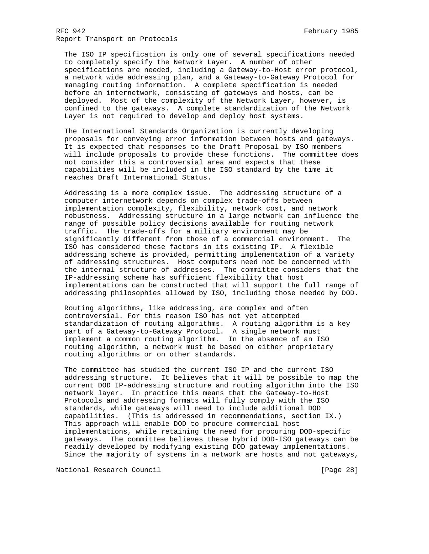The ISO IP specification is only one of several specifications needed to completely specify the Network Layer. A number of other specifications are needed, including a Gateway-to-Host error protocol, a network wide addressing plan, and a Gateway-to-Gateway Protocol for managing routing information. A complete specification is needed before an internetwork, consisting of gateways and hosts, can be deployed. Most of the complexity of the Network Layer, however, is confined to the gateways. A complete standardization of the Network Layer is not required to develop and deploy host systems.

 The International Standards Organization is currently developing proposals for conveying error information between hosts and gateways. It is expected that responses to the Draft Proposal by ISO members will include proposals to provide these functions. The committee does not consider this a controversial area and expects that these capabilities will be included in the ISO standard by the time it reaches Draft International Status.

 Addressing is a more complex issue. The addressing structure of a computer internetwork depends on complex trade-offs between implementation complexity, flexibility, network cost, and network robustness. Addressing structure in a large network can influence the range of possible policy decisions available for routing network traffic. The trade-offs for a military environment may be significantly different from those of a commercial environment. The ISO has considered these factors in its existing IP. A flexible addressing scheme is provided, permitting implementation of a variety of addressing structures. Host computers need not be concerned with the internal structure of addresses. The committee considers that the IP-addressing scheme has sufficient flexibility that host implementations can be constructed that will support the full range of addressing philosophies allowed by ISO, including those needed by DOD.

 Routing algorithms, like addressing, are complex and often controversial. For this reason ISO has not yet attempted standardization of routing algorithms. A routing algorithm is a key part of a Gateway-to-Gateway Protocol. A single network must implement a common routing algorithm. In the absence of an ISO routing algorithm, a network must be based on either proprietary routing algorithms or on other standards.

 The committee has studied the current ISO IP and the current ISO addressing structure. It believes that it will be possible to map the current DOD IP-addressing structure and routing algorithm into the ISO network layer. In practice this means that the Gateway-to-Host Protocols and addressing formats will fully comply with the ISO standards, while gateways will need to include additional DOD capabilities. (This is addressed in recommendations, section IX.) This approach will enable DOD to procure commercial host implementations, while retaining the need for procuring DOD-specific gateways. The committee believes these hybrid DOD-ISO gateways can be readily developed by modifying existing DOD gateway implementations. Since the majority of systems in a network are hosts and not gateways,

National Research Council **Example 28** and  $\begin{bmatrix} Page & 28 \end{bmatrix}$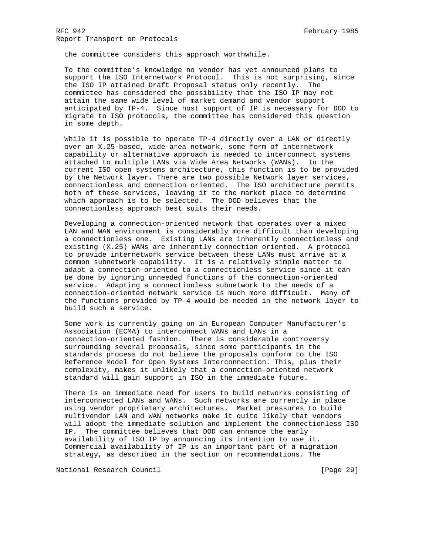the committee considers this approach worthwhile.

 To the committee's knowledge no vendor has yet announced plans to support the ISO Internetwork Protocol. This is not surprising, since the ISO IP attained Draft Proposal status only recently. The committee has considered the possibility that the ISO IP may not attain the same wide level of market demand and vendor support anticipated by TP-4. Since host support of IP is necessary for DOD to migrate to ISO protocols, the committee has considered this question in some depth.

 While it is possible to operate TP-4 directly over a LAN or directly over an X.25-based, wide-area network, some form of internetwork capability or alternative approach is needed to interconnect systems attached to multiple LANs via Wide Area Networks (WANs). In the current ISO open systems architecture, this function is to be provided by the Network layer. There are two possible Network layer services, connectionless and connection oriented. The ISO architecture permits both of these services, leaving it to the market place to determine which approach is to be selected. The DOD believes that the connectionless approach best suits their needs.

 Developing a connection-oriented network that operates over a mixed LAN and WAN environment is considerably more difficult than developing a connectionless one. Existing LANs are inherently connectionless and existing (X.25) WANs are inherently connection oriented. A protocol to provide internetwork service between these LANs must arrive at a common subnetwork capability. It is a relatively simple matter to adapt a connection-oriented to a connectionless service since it can be done by ignoring unneeded functions of the connection-oriented service. Adapting a connectionless subnetwork to the needs of a connection-oriented network service is much more difficult. Many of the functions provided by TP-4 would be needed in the network layer to build such a service.

 Some work is currently going on in European Computer Manufacturer's Association (ECMA) to interconnect WANs and LANs in a connection-oriented fashion. There is considerable controversy surrounding several proposals, since some participants in the standards process do not believe the proposals conform to the ISO Reference Model for Open Systems Interconnection. This, plus their complexity, makes it unlikely that a connection-oriented network standard will gain support in ISO in the immediate future.

 There is an immediate need for users to build networks consisting of interconnected LANs and WANs. Such networks are currently in place using vendor proprietary architectures. Market pressures to build multivendor LAN and WAN networks make it quite likely that vendors will adopt the immediate solution and implement the connectionless ISO IP. The committee believes that DOD can enhance the early availability of ISO IP by announcing its intention to use it. Commercial availability of IP is an important part of a migration strategy, as described in the section on recommendations. The

National Research Council **Example 20** (Page 29)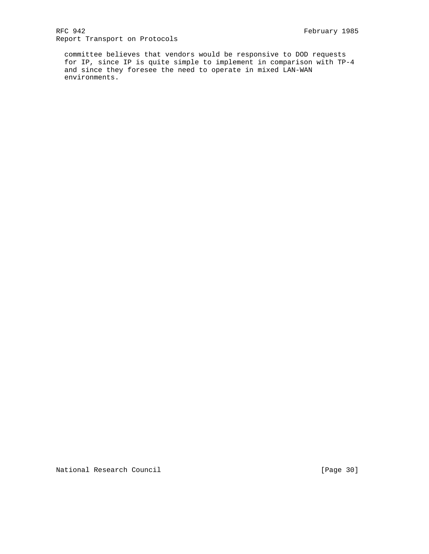committee believes that vendors would be responsive to DOD requests for IP, since IP is quite simple to implement in comparison with TP-4 and since they foresee the need to operate in mixed LAN-WAN environments.

National Research Council **Example 20** (Page 30)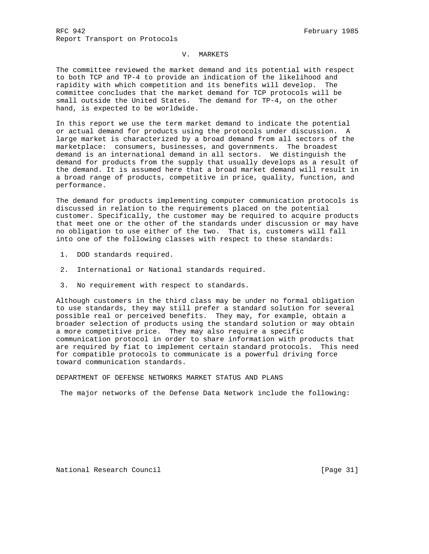# V. MARKETS

The committee reviewed the market demand and its potential with respect to both TCP and TP-4 to provide an indication of the likelihood and rapidity with which competition and its benefits will develop. The committee concludes that the market demand for TCP protocols will be small outside the United States. The demand for TP-4, on the other hand, is expected to be worldwide.

In this report we use the term market demand to indicate the potential or actual demand for products using the protocols under discussion. A large market is characterized by a broad demand from all sectors of the marketplace: consumers, businesses, and governments. The broadest demand is an international demand in all sectors. We distinguish the demand for products from the supply that usually develops as a result of the demand. It is assumed here that a broad market demand will result in a broad range of products, competitive in price, quality, function, and performance.

The demand for products implementing computer communication protocols is discussed in relation to the requirements placed on the potential customer. Specifically, the customer may be required to acquire products that meet one or the other of the standards under discussion or may have no obligation to use either of the two. That is, customers will fall into one of the following classes with respect to these standards:

- 1. DOD standards required.
- 2. International or National standards required.
- 3. No requirement with respect to standards.

Although customers in the third class may be under no formal obligation to use standards, they may still prefer a standard solution for several possible real or perceived benefits. They may, for example, obtain a broader selection of products using the standard solution or may obtain a more competitive price. They may also require a specific communication protocol in order to share information with products that are required by fiat to implement certain standard protocols. This need for compatible protocols to communicate is a powerful driving force toward communication standards.

DEPARTMENT OF DEFENSE NETWORKS MARKET STATUS AND PLANS

The major networks of the Defense Data Network include the following:

National Research Council **Example 20** (Page 31)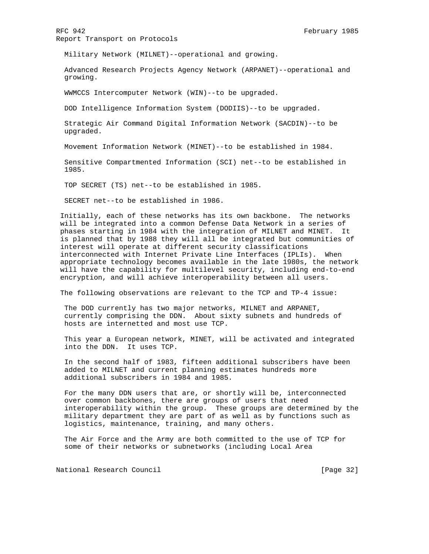Military Network (MILNET)--operational and growing.

 Advanced Research Projects Agency Network (ARPANET)--operational and growing.

WWMCCS Intercomputer Network (WIN)--to be upgraded.

DOD Intelligence Information System (DODIIS)--to be upgraded.

 Strategic Air Command Digital Information Network (SACDIN)--to be upgraded.

Movement Information Network (MINET)--to be established in 1984.

 Sensitive Compartmented Information (SCI) net--to be established in 1985.

TOP SECRET (TS) net--to be established in 1985.

SECRET net--to be established in 1986.

 Initially, each of these networks has its own backbone. The networks will be integrated into a common Defense Data Network in a series of phases starting in 1984 with the integration of MILNET and MINET. It is planned that by 1988 they will all be integrated but communities of interest will operate at different security classifications interconnected with Internet Private Line Interfaces (IPLIs). When appropriate technology becomes available in the late 1980s, the network will have the capability for multilevel security, including end-to-end encryption, and will achieve interoperability between all users.

The following observations are relevant to the TCP and TP-4 issue:

 The DOD currently has two major networks, MILNET and ARPANET, currently comprising the DDN. About sixty subnets and hundreds of hosts are internetted and most use TCP.

 This year a European network, MINET, will be activated and integrated into the DDN. It uses TCP.

 In the second half of 1983, fifteen additional subscribers have been added to MILNET and current planning estimates hundreds more additional subscribers in 1984 and 1985.

 For the many DDN users that are, or shortly will be, interconnected over common backbones, there are groups of users that need interoperability within the group. These groups are determined by the military department they are part of as well as by functions such as logistics, maintenance, training, and many others.

 The Air Force and the Army are both committed to the use of TCP for some of their networks or subnetworks (including Local Area

National Research Council **Example 20** (Page 32)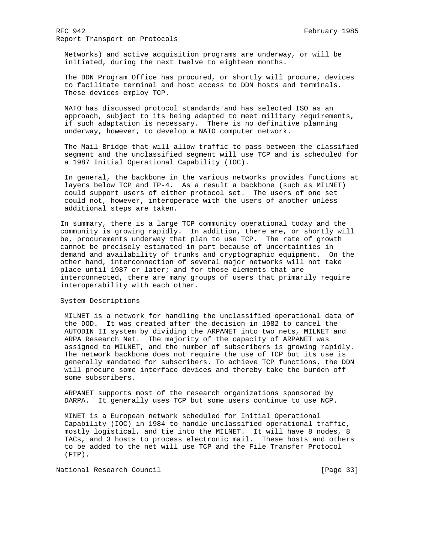Networks) and active acquisition programs are underway, or will be initiated, during the next twelve to eighteen months.

 The DDN Program Office has procured, or shortly will procure, devices to facilitate terminal and host access to DDN hosts and terminals. These devices employ TCP.

 NATO has discussed protocol standards and has selected ISO as an approach, subject to its being adapted to meet military requirements, if such adaptation is necessary. There is no definitive planning underway, however, to develop a NATO computer network.

 The Mail Bridge that will allow traffic to pass between the classified segment and the unclassified segment will use TCP and is scheduled for a 1987 Initial Operational Capability (IOC).

 In general, the backbone in the various networks provides functions at layers below TCP and TP-4. As a result a backbone (such as MILNET) could support users of either protocol set. The users of one set could not, however, interoperate with the users of another unless additional steps are taken.

 In summary, there is a large TCP community operational today and the community is growing rapidly. In addition, there are, or shortly will be, procurements underway that plan to use TCP. The rate of growth cannot be precisely estimated in part because of uncertainties in demand and availability of trunks and cryptographic equipment. On the other hand, interconnection of several major networks will not take place until 1987 or later; and for those elements that are interconnected, there are many groups of users that primarily require interoperability with each other.

#### System Descriptions

 MILNET is a network for handling the unclassified operational data of the DOD. It was created after the decision in 1982 to cancel the AUTODIN II system by dividing the ARPANET into two nets, MILNET and ARPA Research Net. The majority of the capacity of ARPANET was assigned to MILNET, and the number of subscribers is growing rapidly. The network backbone does not require the use of TCP but its use is generally mandated for subscribers. To achieve TCP functions, the DDN will procure some interface devices and thereby take the burden off some subscribers.

 ARPANET supports most of the research organizations sponsored by DARPA. It generally uses TCP but some users continue to use NCP.

 MINET is a European network scheduled for Initial Operational Capability (IOC) in 1984 to handle unclassified operational traffic, mostly logistical, and tie into the MILNET. It will have 8 nodes, 8 TACs, and 3 hosts to process electronic mail. These hosts and others to be added to the net will use TCP and the File Transfer Protocol (FTP).

National Research Council **Example 20** (Page 33)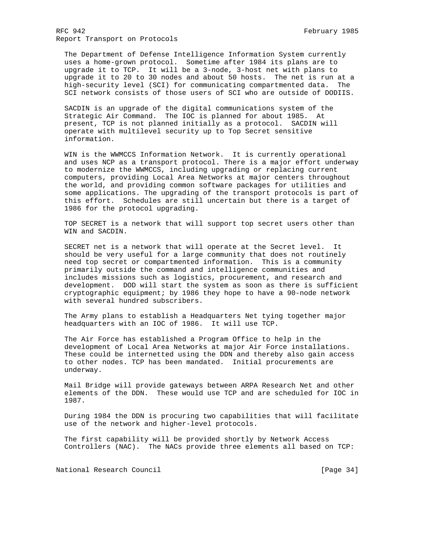The Department of Defense Intelligence Information System currently uses a home-grown protocol. Sometime after 1984 its plans are to upgrade it to TCP. It will be a 3-node, 3-host net with plans to upgrade it to 20 to 30 nodes and about 50 hosts. The net is run at a high-security level (SCI) for communicating compartmented data. The SCI network consists of those users of SCI who are outside of DODIIS.

 SACDIN is an upgrade of the digital communications system of the Strategic Air Command. The IOC is planned for about 1985. At present, TCP is not planned initially as a protocol. SACDIN will operate with multilevel security up to Top Secret sensitive information.

 WIN is the WWMCCS Information Network. It is currently operational and uses NCP as a transport protocol. There is a major effort underway to modernize the WWMCCS, including upgrading or replacing current computers, providing Local Area Networks at major centers throughout the world, and providing common software packages for utilities and some applications. The upgrading of the transport protocols is part of this effort. Schedules are still uncertain but there is a target of 1986 for the protocol upgrading.

 TOP SECRET is a network that will support top secret users other than WIN and SACDIN.

 SECRET net is a network that will operate at the Secret level. It should be very useful for a large community that does not routinely need top secret or compartmented information. This is a community primarily outside the command and intelligence communities and includes missions such as logistics, procurement, and research and development. DOD will start the system as soon as there is sufficient cryptographic equipment; by 1986 they hope to have a 90-node network with several hundred subscribers.

 The Army plans to establish a Headquarters Net tying together major headquarters with an IOC of 1986. It will use TCP.

 The Air Force has established a Program Office to help in the development of Local Area Networks at major Air Force installations. These could be internetted using the DDN and thereby also gain access to other nodes. TCP has been mandated. Initial procurements are underway.

 Mail Bridge will provide gateways between ARPA Research Net and other elements of the DDN. These would use TCP and are scheduled for IOC in 1987.

 During 1984 the DDN is procuring two capabilities that will facilitate use of the network and higher-level protocols.

 The first capability will be provided shortly by Network Access Controllers (NAC). The NACs provide three elements all based on TCP:

National Research Council **Example 2018** [Page 34]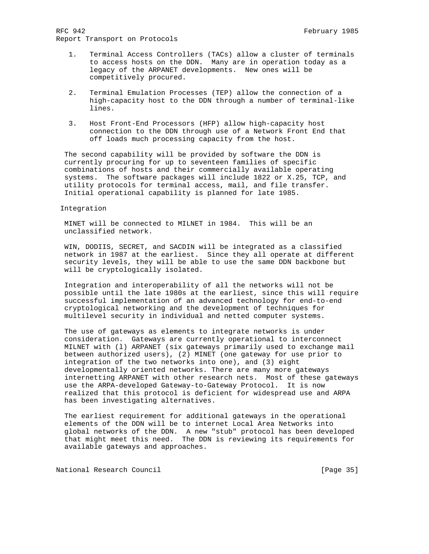- 1. Terminal Access Controllers (TACs) allow a cluster of terminals to access hosts on the DDN. Many are in operation today as a legacy of the ARPANET developments. New ones will be competitively procured.
- 2. Terminal Emulation Processes (TEP) allow the connection of a high-capacity host to the DDN through a number of terminal-like lines.
- 3. Host Front-End Processors (HFP) allow high-capacity host connection to the DDN through use of a Network Front End that off loads much processing capacity from the host.

 The second capability will be provided by software the DDN is currently procuring for up to seventeen families of specific combinations of hosts and their commercially available operating systems. The software packages will include 1822 or X.25, TCP, and utility protocols for terminal access, mail, and file transfer. Initial operational capability is planned for late 1985.

#### Integration

 MINET will be connected to MILNET in 1984. This will be an unclassified network.

 WIN, DODIIS, SECRET, and SACDIN will be integrated as a classified network in 1987 at the earliest. Since they all operate at different security levels, they will be able to use the same DDN backbone but will be cryptologically isolated.

 Integration and interoperability of all the networks will not be possible until the late 1980s at the earliest, since this will require successful implementation of an advanced technology for end-to-end cryptological networking and the development of techniques for multilevel security in individual and netted computer systems.

 The use of gateways as elements to integrate networks is under consideration. Gateways are currently operational to interconnect MILNET with (l) ARPANET (six gateways primarily used to exchange mail between authorized users), (2) MINET (one gateway for use prior to integration of the two networks into one), and (3) eight developmentally oriented networks. There are many more gateways internetting ARPANET with other research nets. Most of these gateways use the ARPA-developed Gateway-to-Gateway Protocol. It is now realized that this protocol is deficient for widespread use and ARPA has been investigating alternatives.

 The earliest requirement for additional gateways in the operational elements of the DDN will be to internet Local Area Networks into global networks of the DDN. A new "stub" protocol has been developed that might meet this need. The DDN is reviewing its requirements for available gateways and approaches.

National Research Council **Example 26** (Page 35)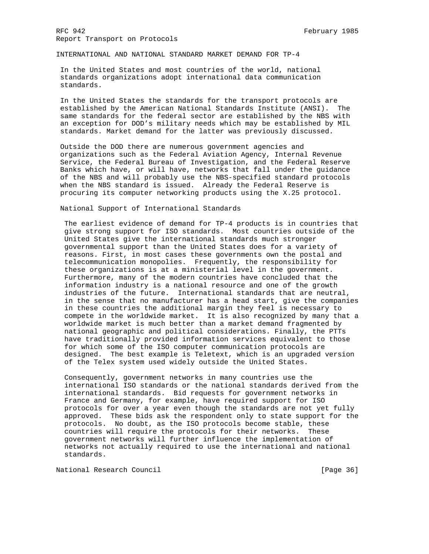INTERNATIONAL AND NATIONAL STANDARD MARKET DEMAND FOR TP-4

 In the United States and most countries of the world, national standards organizations adopt international data communication standards.

 In the United States the standards for the transport protocols are established by the American National Standards Institute (ANSI). The same standards for the federal sector are established by the NBS with an exception for DOD's military needs which may be established by MIL standards. Market demand for the latter was previously discussed.

 Outside the DOD there are numerous government agencies and organizations such as the Federal Aviation Agency, Internal Revenue Service, the Federal Bureau of Investigation, and the Federal Reserve Banks which have, or will have, networks that fall under the guidance of the NBS and will probably use the NBS-specified standard protocols when the NBS standard is issued. Already the Federal Reserve is procuring its computer networking products using the X.25 protocol.

## National Support of International Standards

 The earliest evidence of demand for TP-4 products is in countries that give strong support for ISO standards. Most countries outside of the United States give the international standards much stronger governmental support than the United States does for a variety of reasons. First, in most cases these governments own the postal and telecommunication monopolies. Frequently, the responsibility for these organizations is at a ministerial level in the government. Furthermore, many of the modern countries have concluded that the information industry is a national resource and one of the growth industries of the future. International standards that are neutral, in the sense that no manufacturer has a head start, give the companies in these countries the additional margin they feel is necessary to compete in the worldwide market. It is also recognized by many that a worldwide market is much better than a market demand fragmented by national geographic and political considerations. Finally, the PTTs have traditionally provided information services equivalent to those for which some of the ISO computer communication protocols are designed. The best example is Teletext, which is an upgraded version of the Telex system used widely outside the United States.

 Consequently, government networks in many countries use the international ISO standards or the national standards derived from the international standards. Bid requests for government networks in France and Germany, for example, have required support for ISO protocols for over a year even though the standards are not yet fully approved. These bids ask the respondent only to state support for the protocols. No doubt, as the ISO protocols become stable, these countries will require the protocols for their networks. These government networks will further influence the implementation of networks not actually required to use the international and national standards.

National Research Council **Example 26** (Page 36)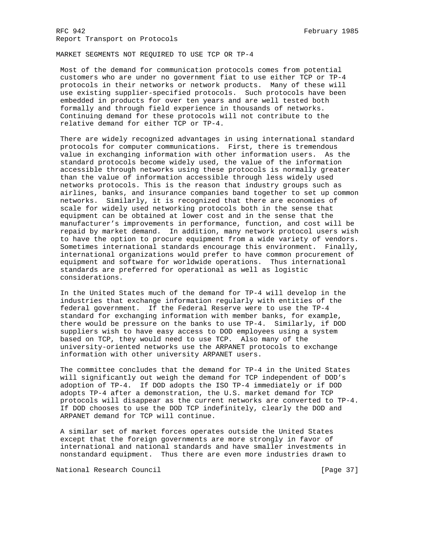MARKET SEGMENTS NOT REQUIRED TO USE TCP OR TP-4

 Most of the demand for communication protocols comes from potential customers who are under no government fiat to use either TCP or TP-4 protocols in their networks or network products. Many of these will use existing supplier-specified protocols. Such protocols have been embedded in products for over ten years and are well tested both formally and through field experience in thousands of networks. Continuing demand for these protocols will not contribute to the relative demand for either TCP or TP-4.

 There are widely recognized advantages in using international standard protocols for computer communications. First, there is tremendous value in exchanging information with other information users. As the standard protocols become widely used, the value of the information accessible through networks using these protocols is normally greater than the value of information accessible through less widely used networks protocols. This is the reason that industry groups such as airlines, banks, and insurance companies band together to set up common networks. Similarly, it is recognized that there are economies of scale for widely used networking protocols both in the sense that equipment can be obtained at lower cost and in the sense that the manufacturer's improvements in performance, function, and cost will be repaid by market demand. In addition, many network protocol users wish to have the option to procure equipment from a wide variety of vendors. Sometimes international standards encourage this environment. Finally, international organizations would prefer to have common procurement of equipment and software for worldwide operations. Thus international standards are preferred for operational as well as logistic considerations.

 In the United States much of the demand for TP-4 will develop in the industries that exchange information regularly with entities of the federal government. If the Federal Reserve were to use the TP-4 standard for exchanging information with member banks, for example, there would be pressure on the banks to use TP-4. Similarly, if DOD suppliers wish to have easy access to DOD employees using a system based on TCP, they would need to use TCP. Also many of the university-oriented networks use the ARPANET protocols to exchange information with other university ARPANET users.

 The committee concludes that the demand for TP-4 in the United States will significantly out weigh the demand for TCP independent of DOD's adoption of TP-4. If DOD adopts the ISO TP-4 immediately or if DOD adopts TP-4 after a demonstration, the U.S. market demand for TCP protocols will disappear as the current networks are converted to TP-4. If DOD chooses to use the DOD TCP indefinitely, clearly the DOD and ARPANET demand for TCP will continue.

 A similar set of market forces operates outside the United States except that the foreign governments are more strongly in favor of international and national standards and have smaller investments in nonstandard equipment. Thus there are even more industries drawn to

National Research Council **Example 20** (Page 37)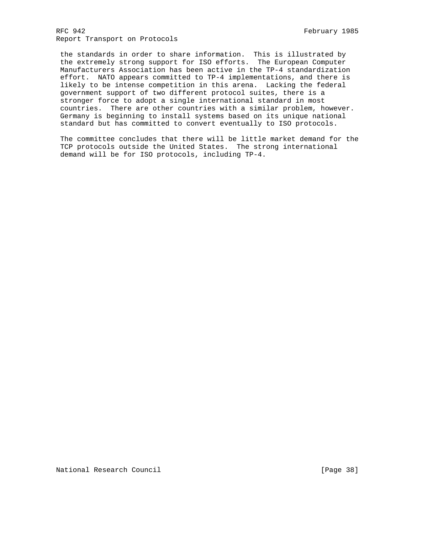the standards in order to share information. This is illustrated by the extremely strong support for ISO efforts. The European Computer Manufacturers Association has been active in the TP-4 standardization effort. NATO appears committed to TP-4 implementations, and there is likely to be intense competition in this arena. Lacking the federal government support of two different protocol suites, there is a stronger force to adopt a single international standard in most countries. There are other countries with a similar problem, however. Germany is beginning to install systems based on its unique national standard but has committed to convert eventually to ISO protocols.

 The committee concludes that there will be little market demand for the TCP protocols outside the United States. The strong international demand will be for ISO protocols, including TP-4.

National Research Council **Example 28** (Page 38)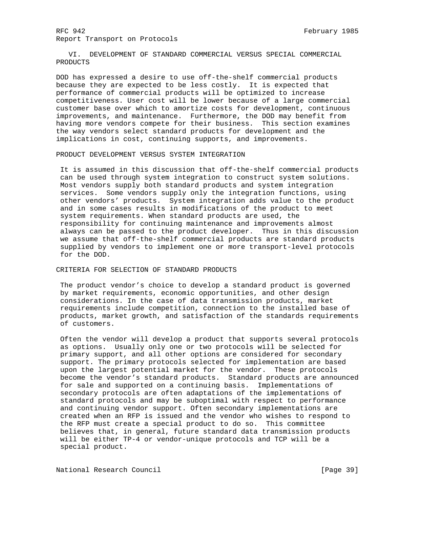VI. DEVELOPMENT OF STANDARD COMMERCIAL VERSUS SPECIAL COMMERCIAL PRODUCTS

DOD has expressed a desire to use off-the-shelf commercial products because they are expected to be less costly. It is expected that performance of commercial products will be optimized to increase competitiveness. User cost will be lower because of a large commercial customer base over which to amortize costs for development, continuous improvements, and maintenance. Furthermore, the DOD may benefit from having more vendors compete for their business. This section examines the way vendors select standard products for development and the implications in cost, continuing supports, and improvements.

#### PRODUCT DEVELOPMENT VERSUS SYSTEM INTEGRATION

 It is assumed in this discussion that off-the-shelf commercial products can be used through system integration to construct system solutions. Most vendors supply both standard products and system integration services. Some vendors supply only the integration functions, using other vendors' products. System integration adds value to the product and in some cases results in modifications of the product to meet system requirements. When standard products are used, the responsibility for continuing maintenance and improvements almost always can be passed to the product developer. Thus in this discussion we assume that off-the-shelf commercial products are standard products supplied by vendors to implement one or more transport-level protocols for the DOD.

CRITERIA FOR SELECTION OF STANDARD PRODUCTS

 The product vendor's choice to develop a standard product is governed by market requirements, economic opportunities, and other design considerations. In the case of data transmission products, market requirements include competition, connection to the installed base of products, market growth, and satisfaction of the standards requirements of customers.

 Often the vendor will develop a product that supports several protocols as options. Usually only one or two protocols will be selected for primary support, and all other options are considered for secondary support. The primary protocols selected for implementation are based upon the largest potential market for the vendor. These protocols become the vendor's standard products. Standard products are announced for sale and supported on a continuing basis. Implementations of secondary protocols are often adaptations of the implementations of standard protocols and may be suboptimal with respect to performance and continuing vendor support. Often secondary implementations are created when an RFP is issued and the vendor who wishes to respond to the RFP must create a special product to do so. This committee believes that, in general, future standard data transmission products will be either TP-4 or vendor-unique protocols and TCP will be a special product.

National Research Council **Example 2018** [Page 39]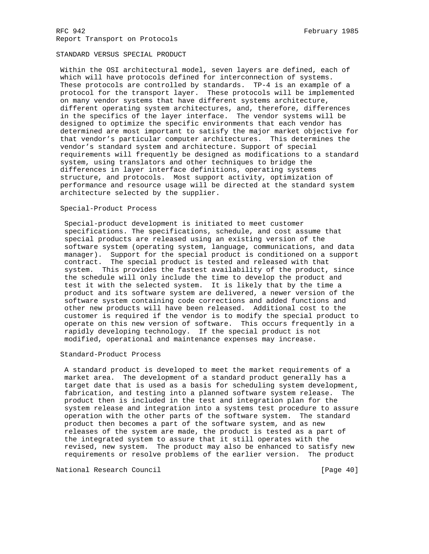# STANDARD VERSUS SPECIAL PRODUCT

 Within the OSI architectural model, seven layers are defined, each of which will have protocols defined for interconnection of systems. These protocols are controlled by standards. TP-4 is an example of a protocol for the transport layer. These protocols will be implemented on many vendor systems that have different systems architecture, different operating system architectures, and, therefore, differences in the specifics of the layer interface. The vendor systems will be designed to optimize the specific environments that each vendor has determined are most important to satisfy the major market objective for that vendor's particular computer architectures. This determines the vendor's standard system and architecture. Support of special requirements will frequently be designed as modifications to a standard system, using translators and other techniques to bridge the differences in layer interface definitions, operating systems structure, and protocols. Most support activity, optimization of performance and resource usage will be directed at the standard system architecture selected by the supplier.

#### Special-Product Process

 Special-product development is initiated to meet customer specifications. The specifications, schedule, and cost assume that special products are released using an existing version of the software system (operating system, language, communications, and data manager). Support for the special product is conditioned on a support contract. The special product is tested and released with that system. This provides the fastest availability of the product, since the schedule will only include the time to develop the product and test it with the selected system. It is likely that by the time a product and its software system are delivered, a newer version of the software system containing code corrections and added functions and other new products will have been released. Additional cost to the customer is required if the vendor is to modify the special product to operate on this new version of software. This occurs frequently in a rapidly developing technology. If the special product is not modified, operational and maintenance expenses may increase.

## Standard-Product Process

 A standard product is developed to meet the market requirements of a market area. The development of a standard product generally has a target date that is used as a basis for scheduling system development, fabrication, and testing into a planned software system release. The product then is included in the test and integration plan for the system release and integration into a systems test procedure to assure operation with the other parts of the software system. The standard product then becomes a part of the software system, and as new releases of the system are made, the product is tested as a part of the integrated system to assure that it still operates with the revised, new system. The product may also be enhanced to satisfy new requirements or resolve problems of the earlier version. The product

National Research Council **Example 20** and  $[Page 40]$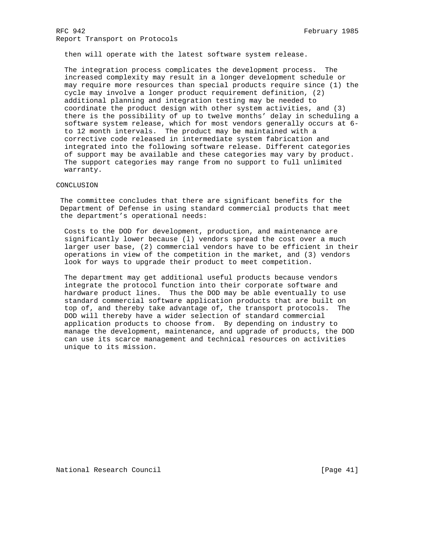then will operate with the latest software system release.

 The integration process complicates the development process. The increased complexity may result in a longer development schedule or may require more resources than special products require since (1) the cycle may involve a longer product requirement definition, (2) additional planning and integration testing may be needed to coordinate the product design with other system activities, and (3) there is the possibility of up to twelve months' delay in scheduling a software system release, which for most vendors generally occurs at 6 to 12 month intervals. The product may be maintained with a corrective code released in intermediate system fabrication and integrated into the following software release. Different categories of support may be available and these categories may vary by product. The support categories may range from no support to full unlimited warranty.

#### CONCLUSION

 The committee concludes that there are significant benefits for the Department of Defense in using standard commercial products that meet the department's operational needs:

 Costs to the DOD for development, production, and maintenance are significantly lower because (l) vendors spread the cost over a much larger user base, (2) commercial vendors have to be efficient in their operations in view of the competition in the market, and (3) vendors look for ways to upgrade their product to meet competition.

 The department may get additional useful products because vendors integrate the protocol function into their corporate software and hardware product lines. Thus the DOD may be able eventually to use standard commercial software application products that are built on top of, and thereby take advantage of, the transport protocols. The DOD will thereby have a wider selection of standard commercial application products to choose from. By depending on industry to manage the development, maintenance, and upgrade of products, the DOD can use its scarce management and technical resources on activities unique to its mission.

National Research Council **Example 2018** [Page 41]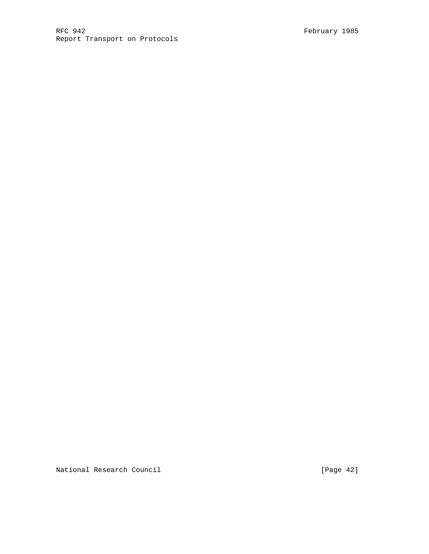National Research Council **Example 20** [Page 42]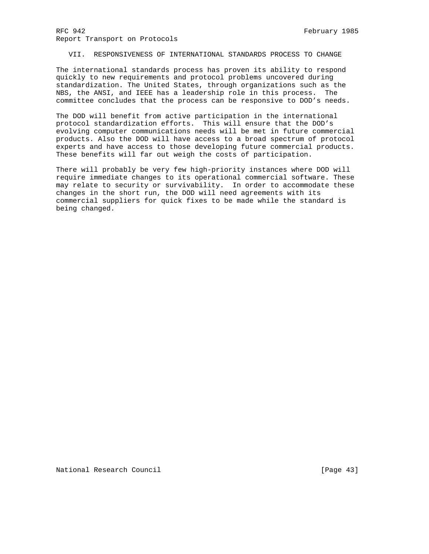VII. RESPONSIVENESS OF INTERNATIONAL STANDARDS PROCESS TO CHANGE

The international standards process has proven its ability to respond quickly to new requirements and protocol problems uncovered during standardization. The United States, through organizations such as the NBS, the ANSI, and IEEE has a leadership role in this process. The committee concludes that the process can be responsive to DOD's needs.

The DOD will benefit from active participation in the international protocol standardization efforts. This will ensure that the DOD's evolving computer communications needs will be met in future commercial products. Also the DOD will have access to a broad spectrum of protocol experts and have access to those developing future commercial products. These benefits will far out weigh the costs of participation.

There will probably be very few high-priority instances where DOD will require immediate changes to its operational commercial software. These may relate to security or survivability. In order to accommodate these changes in the short run, the DOD will need agreements with its commercial suppliers for quick fixes to be made while the standard is being changed.

National Research Council **Example 20** (Page 43)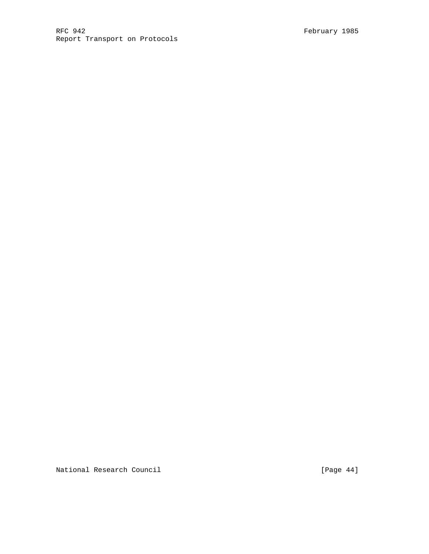National Research Council **Example 2018** [Page 44]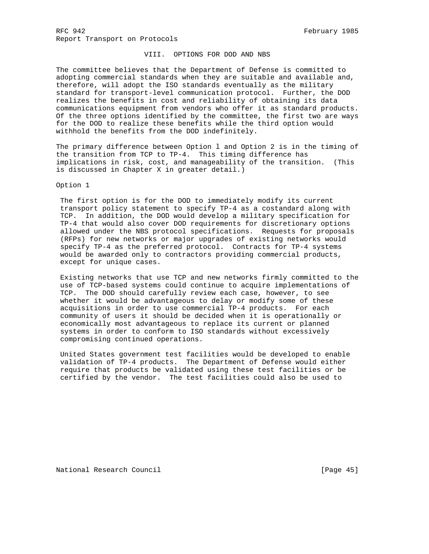# VIII. OPTIONS FOR DOD AND NBS

The committee believes that the Department of Defense is committed to adopting commercial standards when they are suitable and available and, therefore, will adopt the ISO standards eventually as the military standard for transport-level communication protocol. Further, the DOD realizes the benefits in cost and reliability of obtaining its data communications equipment from vendors who offer it as standard products. Of the three options identified by the committee, the first two are ways for the DOD to realize these benefits while the third option would withhold the benefits from the DOD indefinitely.

The primary difference between Option l and Option 2 is in the timing of the transition from TCP to TP-4. This timing difference has implications in risk, cost, and manageability of the transition. (This is discussed in Chapter X in greater detail.)

Option 1

 The first option is for the DOD to immediately modify its current transport policy statement to specify TP-4 as a costandard along with TCP. In addition, the DOD would develop a military specification for TP-4 that would also cover DOD requirements for discretionary options allowed under the NBS protocol specifications. Requests for proposals (RFPs) for new networks or major upgrades of existing networks would specify TP-4 as the preferred protocol. Contracts for TP-4 systems would be awarded only to contractors providing commercial products, except for unique cases.

 Existing networks that use TCP and new networks firmly committed to the use of TCP-based systems could continue to acquire implementations of TCP. The DOD should carefully review each case, however, to see whether it would be advantageous to delay or modify some of these acquisitions in order to use commercial TP-4 products. For each community of users it should be decided when it is operationally or economically most advantageous to replace its current or planned systems in order to conform to ISO standards without excessively compromising continued operations.

 United States government test facilities would be developed to enable validation of TP-4 products. The Department of Defense would either require that products be validated using these test facilities or be certified by the vendor. The test facilities could also be used to

National Research Council **Example 20** (Page 45)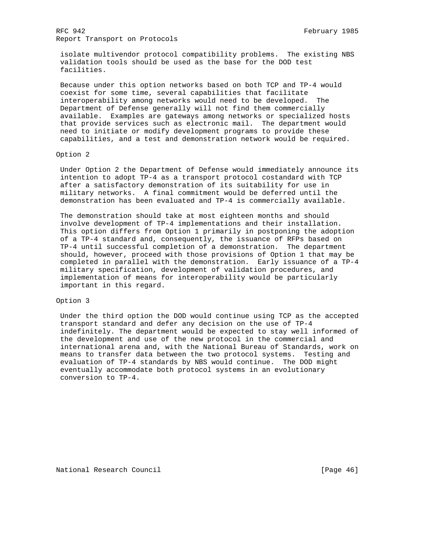isolate multivendor protocol compatibility problems. The existing NBS validation tools should be used as the base for the DOD test facilities.

 Because under this option networks based on both TCP and TP-4 would coexist for some time, several capabilities that facilitate interoperability among networks would need to be developed. The Department of Defense generally will not find them commercially available. Examples are gateways among networks or specialized hosts that provide services such as electronic mail. The department would need to initiate or modify development programs to provide these capabilities, and a test and demonstration network would be required.

## Option 2

 Under Option 2 the Department of Defense would immediately announce its intention to adopt TP-4 as a transport protocol costandard with TCP after a satisfactory demonstration of its suitability for use in military networks. A final commitment would be deferred until the demonstration has been evaluated and TP-4 is commercially available.

 The demonstration should take at most eighteen months and should involve development of TP-4 implementations and their installation. This option differs from Option 1 primarily in postponing the adoption of a TP-4 standard and, consequently, the issuance of RFPs based on TP-4 until successful completion of a demonstration. The department should, however, proceed with those provisions of Option 1 that may be completed in parallel with the demonstration. Early issuance of a TP-4 military specification, development of validation procedures, and implementation of means for interoperability would be particularly important in this regard.

Option 3

 Under the third option the DOD would continue using TCP as the accepted transport standard and defer any decision on the use of TP-4 indefinitely. The department would be expected to stay well informed of the development and use of the new protocol in the commercial and international arena and, with the National Bureau of Standards, work on means to transfer data between the two protocol systems. Testing and evaluation of TP-4 standards by NBS would continue. The DOD might eventually accommodate both protocol systems in an evolutionary conversion to TP-4.

National Research Council **Example 20** (Page 46)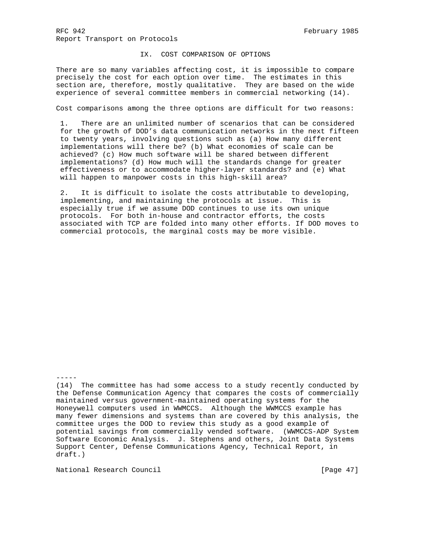# IX. COST COMPARISON OF OPTIONS

There are so many variables affecting cost, it is impossible to compare precisely the cost for each option over time. The estimates in this section are, therefore, mostly qualitative. They are based on the wide experience of several committee members in commercial networking (14).

## Cost comparisons among the three options are difficult for two reasons:

 1. There are an unlimited number of scenarios that can be considered for the growth of DOD's data communication networks in the next fifteen to twenty years, involving questions such as (a) How many different implementations will there be? (b) What economies of scale can be achieved? (c) How much software will be shared between different implementations? (d) How much will the standards change for greater effectiveness or to accommodate higher-layer standards? and (e) What will happen to manpower costs in this high-skill area?

 2. It is difficult to isolate the costs attributable to developing, implementing, and maintaining the protocols at issue. This is especially true if we assume DOD continues to use its own unique protocols. For both in-house and contractor efforts, the costs associated with TCP are folded into many other efforts. If DOD moves to commercial protocols, the marginal costs may be more visible.

-----

(14) The committee has had some access to a study recently conducted by the Defense Communication Agency that compares the costs of commercially maintained versus government-maintained operating systems for the Honeywell computers used in WWMCCS. Although the WWMCCS example has many fewer dimensions and systems than are covered by this analysis, the committee urges the DOD to review this study as a good example of potential savings from commercially vended software. (WWMCCS-ADP System Software Economic Analysis. J. Stephens and others, Joint Data Systems Support Center, Defense Communications Agency, Technical Report, in draft.)

National Research Council **Example 20** (Page 47)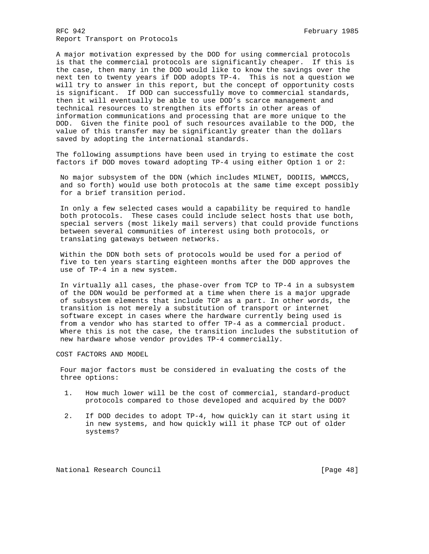A major motivation expressed by the DOD for using commercial protocols is that the commercial protocols are significantly cheaper. If this is the case, then many in the DOD would like to know the savings over the next ten to twenty years if DOD adopts TP-4. This is not a question we will try to answer in this report, but the concept of opportunity costs is significant. If DOD can successfully move to commercial standards, then it will eventually be able to use DOD's scarce management and technical resources to strengthen its efforts in other areas of information communications and processing that are more unique to the DOD. Given the finite pool of such resources available to the DOD, the value of this transfer may be significantly greater than the dollars saved by adopting the international standards.

The following assumptions have been used in trying to estimate the cost factors if DOD moves toward adopting TP-4 using either Option 1 or 2:

 No major subsystem of the DDN (which includes MILNET, DODIIS, WWMCCS, and so forth) would use both protocols at the same time except possibly for a brief transition period.

 In only a few selected cases would a capability be required to handle both protocols. These cases could include select hosts that use both, special servers (most likely mail servers) that could provide functions between several communities of interest using both protocols, or translating gateways between networks.

 Within the DDN both sets of protocols would be used for a period of five to ten years starting eighteen months after the DOD approves the use of TP-4 in a new system.

 In virtually all cases, the phase-over from TCP to TP-4 in a subsystem of the DDN would be performed at a time when there is a major upgrade of subsystem elements that include TCP as a part. In other words, the transition is not merely a substitution of transport or internet software except in cases where the hardware currently being used is from a vendor who has started to offer TP-4 as a commercial product. Where this is not the case, the transition includes the substitution of new hardware whose vendor provides TP-4 commercially.

COST FACTORS AND MODEL

 Four major factors must be considered in evaluating the costs of the three options:

- 1. How much lower will be the cost of commercial, standard-product protocols compared to those developed and acquired by the DOD?
- 2. If DOD decides to adopt TP-4, how quickly can it start using it in new systems, and how quickly will it phase TCP out of older systems?

National Research Council **Example 2018** [Page 48]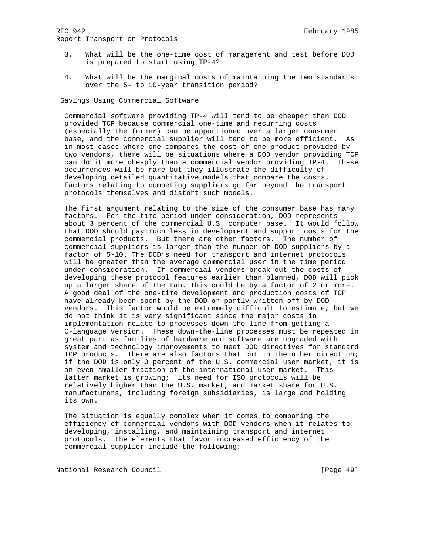- 3. What will be the one-time cost of management and test before DOD is prepared to start using TP-4?
- 4. What will be the marginal costs of maintaining the two standards over the 5- to 10-year transition period?

Savings Using Commercial Software

 Commercial software providing TP-4 will tend to be cheaper than DOD provided TCP because commercial one-time and recurring costs (especially the former) can be apportioned over a larger consumer base, and the commercial supplier will tend to be more efficient. As in most cases where one compares the cost of one product provided by two vendors, there will be situations where a DOD vendor providing TCP can do it more cheaply than a commercial vendor providing TP-4. These occurrences will be rare but they illustrate the difficulty of developing detailed quantitative models that compare the costs. Factors relating to competing suppliers go far beyond the transport protocols themselves and distort such models.

 The first argument relating to the size of the consumer base has many factors. For the time period under consideration, DOD represents about 3 percent of the commercial U.S. computer base. It would follow that DOD should pay much less in development and support costs for the commercial products. But there are other factors. The number of commercial suppliers is larger than the number of DOD suppliers by a factor of 5-10. The DOD's need for transport and internet protocols will be greater than the average commercial user in the time period under consideration. If commercial vendors break out the costs of developing these protocol features earlier than planned, DOD will pick up a larger share of the tab. This could be by a factor of 2 or more. A good deal of the one-time development and production costs of TCP have already been spent by the DOD or partly written off by DOD vendors. This factor would be extremely difficult to estimate, but we do not think it is very significant since the major costs in implementation relate to processes down-the-line from getting a C-language version. These down-the-line processes must be repeated in great part as families of hardware and software are upgraded with system and technology improvements to meet DOD directives for standard TCP products. There are also factors that cut in the other direction; if the DOD is only 3 percent of the U.S. commercial user market, it is an even smaller fraction of the international user market. This latter market is growing; its need for ISO protocols will be relatively higher than the U.S. market, and market share for U.S. manufacturers, including foreign subsidiaries, is large and holding its own.

 The situation is equally complex when it comes to comparing the efficiency of commercial vendors with DOD vendors when it relates to developing, installing, and maintaining transport and internet protocols. The elements that favor increased efficiency of the commercial supplier include the following:

National Research Council **Example 2018** [Page 49]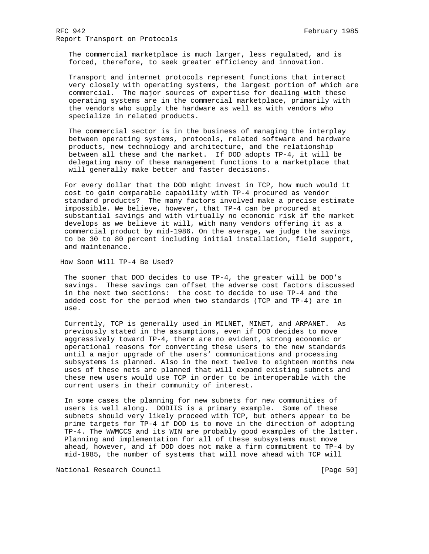The commercial marketplace is much larger, less regulated, and is forced, therefore, to seek greater efficiency and innovation.

 Transport and internet protocols represent functions that interact very closely with operating systems, the largest portion of which are commercial. The major sources of expertise for dealing with these operating systems are in the commercial marketplace, primarily with the vendors who supply the hardware as well as with vendors who specialize in related products.

 The commercial sector is in the business of managing the interplay between operating systems, protocols, related software and hardware products, new technology and architecture, and the relationship between all these and the market. If DOD adopts TP-4, it will be delegating many of these management functions to a marketplace that will generally make better and faster decisions.

 For every dollar that the DOD might invest in TCP, how much would it cost to gain comparable capability with TP-4 procured as vendor standard products? The many factors involved make a precise estimate impossible. We believe, however, that TP-4 can be procured at substantial savings and with virtually no economic risk if the market develops as we believe it will, with many vendors offering it as a commercial product by mid-1986. On the average, we judge the savings to be 30 to 80 percent including initial installation, field support, and maintenance.

How Soon Will TP-4 Be Used?

 The sooner that DOD decides to use TP-4, the greater will be DOD's savings. These savings can offset the adverse cost factors discussed in the next two sections: the cost to decide to use TP-4 and the added cost for the period when two standards (TCP and TP-4) are in use.

 Currently, TCP is generally used in MILNET, MINET, and ARPANET. As previously stated in the assumptions, even if DOD decides to move aggressively toward TP-4, there are no evident, strong economic or operational reasons for converting these users to the new standards until a major upgrade of the users' communications and processing subsystems is planned. Also in the next twelve to eighteen months new uses of these nets are planned that will expand existing subnets and these new users would use TCP in order to be interoperable with the current users in their community of interest.

 In some cases the planning for new subnets for new communities of users is well along. DODIIS is a primary example. Some of these subnets should very likely proceed with TCP, but others appear to be prime targets for TP-4 if DOD is to move in the direction of adopting TP-4. The WWMCCS and its WIN are probably good examples of the latter. Planning and implementation for all of these subsystems must move ahead, however, and if DOD does not make a firm commitment to TP-4 by mid-1985, the number of systems that will move ahead with TCP will

National Research Council **Example 2018** [Page 50]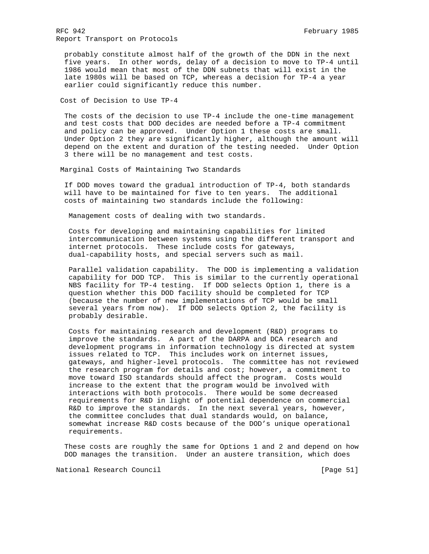probably constitute almost half of the growth of the DDN in the next five years. In other words, delay of a decision to move to TP-4 until 1986 would mean that most of the DDN subnets that will exist in the late 1980s will be based on TCP, whereas a decision for TP-4 a year earlier could significantly reduce this number.

Cost of Decision to Use TP-4

 The costs of the decision to use TP-4 include the one-time management and test costs that DOD decides are needed before a TP-4 commitment and policy can be approved. Under Option 1 these costs are small. Under Option 2 they are significantly higher, although the amount will depend on the extent and duration of the testing needed. Under Option 3 there will be no management and test costs.

Marginal Costs of Maintaining Two Standards

 If DOD moves toward the gradual introduction of TP-4, both standards will have to be maintained for five to ten years. The additional costs of maintaining two standards include the following:

Management costs of dealing with two standards.

 Costs for developing and maintaining capabilities for limited intercommunication between systems using the different transport and internet protocols. These include costs for gateways, dual-capability hosts, and special servers such as mail.

 Parallel validation capability. The DOD is implementing a validation capability for DOD TCP. This is similar to the currently operational NBS facility for TP-4 testing. If DOD selects Option 1, there is a question whether this DOD facility should be completed for TCP (because the number of new implementations of TCP would be small several years from now). If DOD selects Option 2, the facility is probably desirable.

 Costs for maintaining research and development (R&D) programs to improve the standards. A part of the DARPA and DCA research and development programs in information technology is directed at system issues related to TCP. This includes work on internet issues, gateways, and higher-level protocols. The committee has not reviewed the research program for details and cost; however, a commitment to move toward ISO standards should affect the program. Costs would increase to the extent that the program would be involved with interactions with both protocols. There would be some decreased requirements for R&D in light of potential dependence on commercial R&D to improve the standards. In the next several years, however, the committee concludes that dual standards would, on balance, somewhat increase R&D costs because of the DOD's unique operational requirements.

 These costs are roughly the same for Options 1 and 2 and depend on how DOD manages the transition. Under an austere transition, which does

National Research Council **Example 20** (Page 51)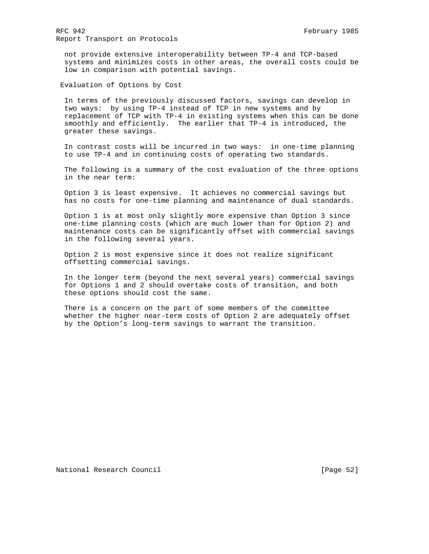not provide extensive interoperability between TP-4 and TCP-based systems and minimizes costs in other areas, the overall costs could be low in comparison with potential savings.

Evaluation of Options by Cost

 In terms of the previously discussed factors, savings can develop in two ways: by using TP-4 instead of TCP in new systems and by replacement of TCP with TP-4 in existing systems when this can be done smoothly and efficiently. The earlier that TP-4 is introduced, the greater these savings.

 In contrast costs will be incurred in two ways: in one-time planning to use TP-4 and in continuing costs of operating two standards.

 The following is a summary of the cost evaluation of the three options in the near term:

 Option 3 is least expensive. It achieves no commercial savings but has no costs for one-time planning and maintenance of dual standards.

 Option 1 is at most only slightly more expensive than Option 3 since one-time planning costs (which are much lower than for Option 2) and maintenance costs can be significantly offset with commercial savings in the following several years.

 Option 2 is most expensive since it does not realize significant offsetting commercial savings.

 In the longer term (beyond the next several years) commercial savings for Options 1 and 2 should overtake costs of transition, and both these options should cost the same.

 There is a concern on the part of some members of the committee whether the higher near-term costs of Option 2 are adequately offset by the Option's long-term savings to warrant the transition.

National Research Council **Example 20** (Page 52)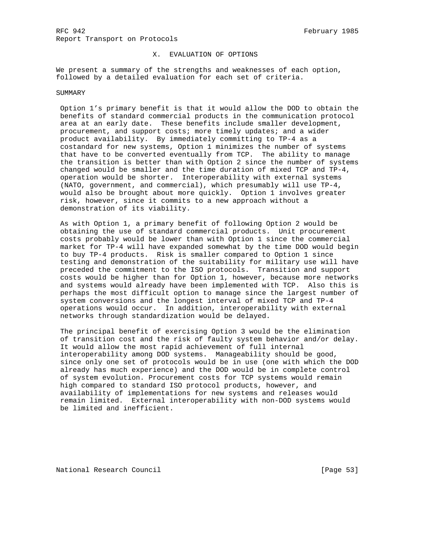# X. EVALUATION OF OPTIONS

We present a summary of the strengths and weaknesses of each option, followed by a detailed evaluation for each set of criteria.

#### SUMMARY

 Option 1's primary benefit is that it would allow the DOD to obtain the benefits of standard commercial products in the communication protocol area at an early date. These benefits include smaller development, procurement, and support costs; more timely updates; and a wider product availability. By immediately committing to TP-4 as a costandard for new systems, Option 1 minimizes the number of systems that have to be converted eventually from TCP. The ability to manage the transition is better than with Option 2 since the number of systems changed would be smaller and the time duration of mixed TCP and TP-4, operation would be shorter. Interoperability with external systems (NATO, government, and commercial), which presumably will use TP-4, would also be brought about more quickly. Option 1 involves greater risk, however, since it commits to a new approach without a demonstration of its viability.

 As with Option 1, a primary benefit of following Option 2 would be obtaining the use of standard commercial products. Unit procurement costs probably would be lower than with Option 1 since the commercial market for TP-4 will have expanded somewhat by the time DOD would begin to buy TP-4 products. Risk is smaller compared to Option 1 since testing and demonstration of the suitability for military use will have preceded the commitment to the ISO protocols. Transition and support costs would be higher than for Option 1, however, because more networks and systems would already have been implemented with TCP. Also this is perhaps the most difficult option to manage since the largest number of system conversions and the longest interval of mixed TCP and TP-4 operations would occur. In addition, interoperability with external networks through standardization would be delayed.

 The principal benefit of exercising Option 3 would be the elimination of transition cost and the risk of faulty system behavior and/or delay. It would allow the most rapid achievement of full internal interoperability among DOD systems. Manageability should be good, since only one set of protocols would be in use (one with which the DOD already has much experience) and the DOD would be in complete control of system evolution. Procurement costs for TCP systems would remain high compared to standard ISO protocol products, however, and availability of implementations for new systems and releases would remain limited. External interoperability with non-DOD systems would be limited and inefficient.

National Research Council **Example 20** (Page 53)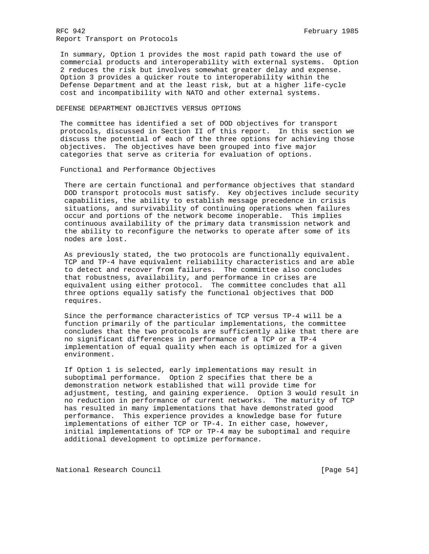In summary, Option 1 provides the most rapid path toward the use of commercial products and interoperability with external systems. Option 2 reduces the risk but involves somewhat greater delay and expense. Option 3 provides a quicker route to interoperability within the Defense Department and at the least risk, but at a higher life-cycle cost and incompatibility with NATO and other external systems.

## DEFENSE DEPARTMENT OBJECTIVES VERSUS OPTIONS

 The committee has identified a set of DOD objectives for transport protocols, discussed in Section II of this report. In this section we discuss the potential of each of the three options for achieving those objectives. The objectives have been grouped into five major categories that serve as criteria for evaluation of options.

Functional and Performance Objectives

 There are certain functional and performance objectives that standard DOD transport protocols must satisfy. Key objectives include security capabilities, the ability to establish message precedence in crisis situations, and survivability of continuing operations when failures occur and portions of the network become inoperable. This implies continuous availability of the primary data transmission network and the ability to reconfigure the networks to operate after some of its nodes are lost.

 As previously stated, the two protocols are functionally equivalent. TCP and TP-4 have equivalent reliability characteristics and are able to detect and recover from failures. The committee also concludes that robustness, availability, and performance in crises are equivalent using either protocol. The committee concludes that all three options equally satisfy the functional objectives that DOD requires.

 Since the performance characteristics of TCP versus TP-4 will be a function primarily of the particular implementations, the committee concludes that the two protocols are sufficiently alike that there are no significant differences in performance of a TCP or a TP-4 implementation of equal quality when each is optimized for a given environment.

 If Option 1 is selected, early implementations may result in suboptimal performance. Option 2 specifies that there be a demonstration network established that will provide time for adjustment, testing, and gaining experience. Option 3 would result in no reduction in performance of current networks. The maturity of TCP has resulted in many implementations that have demonstrated good performance. This experience provides a knowledge base for future implementations of either TCP or TP-4. In either case, however, initial implementations of TCP or TP-4 may be suboptimal and require additional development to optimize performance.

National Research Council **Example 2018** [Page 54]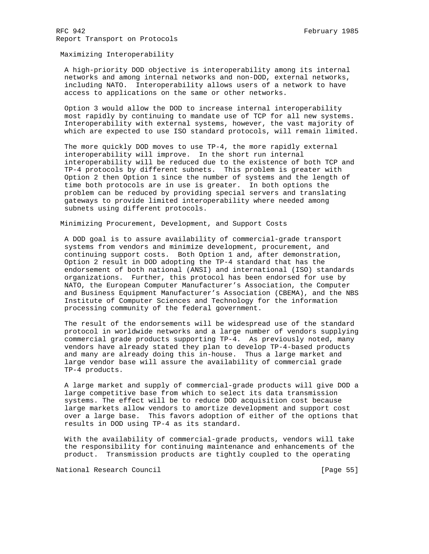Maximizing Interoperability

 A high-priority DOD objective is interoperability among its internal networks and among internal networks and non-DOD, external networks, including NATO. Interoperability allows users of a network to have access to applications on the same or other networks.

 Option 3 would allow the DOD to increase internal interoperability most rapidly by continuing to mandate use of TCP for all new systems. Interoperability with external systems, however, the vast majority of which are expected to use ISO standard protocols, will remain limited.

 The more quickly DOD moves to use TP-4, the more rapidly external interoperability will improve. In the short run internal interoperability will be reduced due to the existence of both TCP and TP-4 protocols by different subnets. This problem is greater with Option 2 then Option 1 since the number of systems and the length of time both protocols are in use is greater. In both options the problem can be reduced by providing special servers and translating gateways to provide limited interoperability where needed among subnets using different protocols.

Minimizing Procurement, Development, and Support Costs

 A DOD goal is to assure availability of commercial-grade transport systems from vendors and minimize development, procurement, and continuing support costs. Both Option 1 and, after demonstration, Option 2 result in DOD adopting the TP-4 standard that has the endorsement of both national (ANSI) and international (ISO) standards organizations. Further, this protocol has been endorsed for use by NATO, the European Computer Manufacturer's Association, the Computer and Business Equipment Manufacturer's Association (CBEMA), and the NBS Institute of Computer Sciences and Technology for the information processing community of the federal government.

 The result of the endorsements will be widespread use of the standard protocol in worldwide networks and a large number of vendors supplying commercial grade products supporting TP-4. As previously noted, many vendors have already stated they plan to develop TP-4-based products and many are already doing this in-house. Thus a large market and large vendor base will assure the availability of commercial grade TP-4 products.

 A large market and supply of commercial-grade products will give DOD a large competitive base from which to select its data transmission systems. The effect will be to reduce DOD acquisition cost because large markets allow vendors to amortize development and support cost over a large base. This favors adoption of either of the options that results in DOD using TP-4 as its standard.

 With the availability of commercial-grade products, vendors will take the responsibility for continuing maintenance and enhancements of the product. Transmission products are tightly coupled to the operating

National Research Council **Example 20** (Page 55)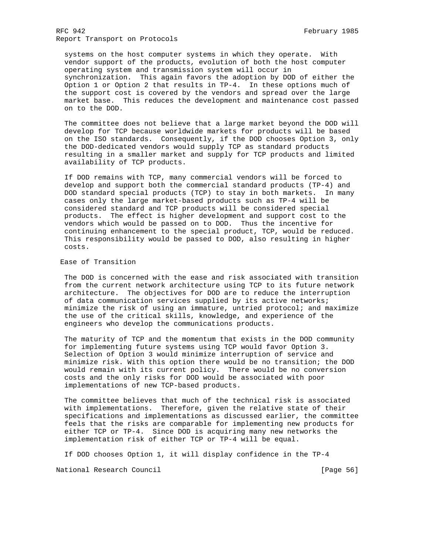systems on the host computer systems in which they operate. With vendor support of the products, evolution of both the host computer operating system and transmission system will occur in synchronization. This again favors the adoption by DOD of either the Option 1 or Option 2 that results in TP-4. In these options much of the support cost is covered by the vendors and spread over the large market base. This reduces the development and maintenance cost passed on to the DOD.

 The committee does not believe that a large market beyond the DOD will develop for TCP because worldwide markets for products will be based on the ISO standards. Consequently, if the DOD chooses Option 3, only the DOD-dedicated vendors would supply TCP as standard products resulting in a smaller market and supply for TCP products and limited availability of TCP products.

 If DOD remains with TCP, many commercial vendors will be forced to develop and support both the commercial standard products (TP-4) and DOD standard special products (TCP) to stay in both markets. In many cases only the large market-based products such as TP-4 will be considered standard and TCP products will be considered special products. The effect is higher development and support cost to the vendors which would be passed on to DOD. Thus the incentive for continuing enhancement to the special product, TCP, would be reduced. This responsibility would be passed to DOD, also resulting in higher costs.

Ease of Transition

 The DOD is concerned with the ease and risk associated with transition from the current network architecture using TCP to its future network architecture. The objectives for DOD are to reduce the interruption of data communication services supplied by its active networks; minimize the risk of using an immature, untried protocol; and maximize the use of the critical skills, knowledge, and experience of the engineers who develop the communications products.

 The maturity of TCP and the momentum that exists in the DOD community for implementing future systems using TCP would favor Option 3. Selection of Option 3 would minimize interruption of service and minimize risk. With this option there would be no transition; the DOD would remain with its current policy. There would be no conversion costs and the only risks for DOD would be associated with poor implementations of new TCP-based products.

 The committee believes that much of the technical risk is associated with implementations. Therefore, given the relative state of their specifications and implementations as discussed earlier, the committee feels that the risks are comparable for implementing new products for either TCP or TP-4. Since DOD is acquiring many new networks the implementation risk of either TCP or TP-4 will be equal.

If DOD chooses Option 1, it will display confidence in the TP-4

National Research Council **Example 20** (Page 56)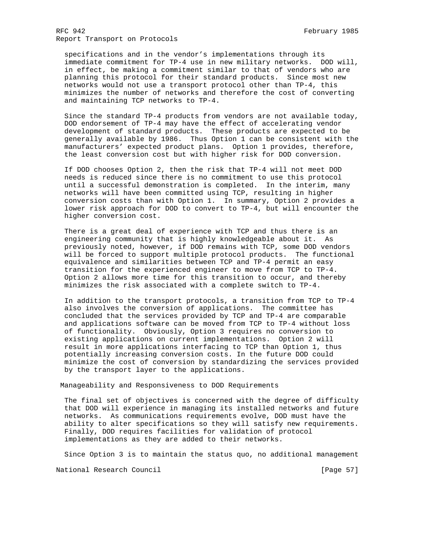specifications and in the vendor's implementations through its immediate commitment for TP-4 use in new military networks. DOD will, in effect, be making a commitment similar to that of vendors who are planning this protocol for their standard products. Since most new networks would not use a transport protocol other than TP-4, this minimizes the number of networks and therefore the cost of converting and maintaining TCP networks to TP-4.

 Since the standard TP-4 products from vendors are not available today, DOD endorsement of TP-4 may have the effect of accelerating vendor development of standard products. These products are expected to be generally available by 1986. Thus Option 1 can be consistent with the manufacturers' expected product plans. Option 1 provides, therefore, the least conversion cost but with higher risk for DOD conversion.

 If DOD chooses Option 2, then the risk that TP-4 will not meet DOD needs is reduced since there is no commitment to use this protocol until a successful demonstration is completed. In the interim, many networks will have been committed using TCP, resulting in higher conversion costs than with Option 1. In summary, Option 2 provides a lower risk approach for DOD to convert to TP-4, but will encounter the higher conversion cost.

 There is a great deal of experience with TCP and thus there is an engineering community that is highly knowledgeable about it. As previously noted, however, if DOD remains with TCP, some DOD vendors will be forced to support multiple protocol products. The functional equivalence and similarities between TCP and TP-4 permit an easy transition for the experienced engineer to move from TCP to TP-4. Option 2 allows more time for this transition to occur, and thereby minimizes the risk associated with a complete switch to TP-4.

 In addition to the transport protocols, a transition from TCP to TP-4 also involves the conversion of applications. The committee has concluded that the services provided by TCP and TP-4 are comparable and applications software can be moved from TCP to TP-4 without loss of functionality. Obviously, Option 3 requires no conversion to existing applications on current implementations. Option 2 will result in more applications interfacing to TCP than Option 1, thus potentially increasing conversion costs. In the future DOD could minimize the cost of conversion by standardizing the services provided by the transport layer to the applications.

Manageability and Responsiveness to DOD Requirements

 The final set of objectives is concerned with the degree of difficulty that DOD will experience in managing its installed networks and future networks. As communications requirements evolve, DOD must have the ability to alter specifications so they will satisfy new requirements. Finally, DOD requires facilities for validation of protocol implementations as they are added to their networks.

Since Option 3 is to maintain the status quo, no additional management

National Research Council **Example 2018** [Page 57]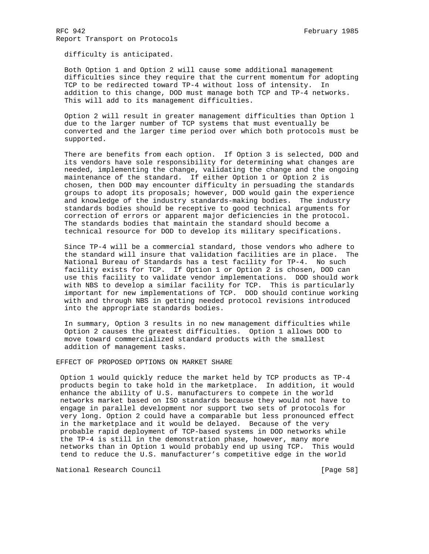difficulty is anticipated.

 Both Option 1 and Option 2 will cause some additional management difficulties since they require that the current momentum for adopting TCP to be redirected toward TP-4 without loss of intensity. In addition to this change, DOD must manage both TCP and TP-4 networks. This will add to its management difficulties.

 Option 2 will result in greater management difficulties than Option l due to the larger number of TCP systems that must eventually be converted and the larger time period over which both protocols must be supported.

 There are benefits from each option. If Option 3 is selected, DOD and its vendors have sole responsibility for determining what changes are needed, implementing the change, validating the change and the ongoing maintenance of the standard. If either Option 1 or Option 2 is chosen, then DOD may encounter difficulty in persuading the standards groups to adopt its proposals; however, DOD would gain the experience and knowledge of the industry standards-making bodies. The industry standards bodies should be receptive to good technical arguments for correction of errors or apparent major deficiencies in the protocol. The standards bodies that maintain the standard should become a technical resource for DOD to develop its military specifications.

 Since TP-4 will be a commercial standard, those vendors who adhere to the standard will insure that validation facilities are in place. The National Bureau of Standards has a test facility for TP-4. No such facility exists for TCP. If Option 1 or Option 2 is chosen, DOD can use this facility to validate vendor implementations. DOD should work with NBS to develop a similar facility for TCP. This is particularly important for new implementations of TCP. DOD should continue working with and through NBS in getting needed protocol revisions introduced into the appropriate standards bodies.

 In summary, Option 3 results in no new management difficulties while Option 2 causes the greatest difficulties. Option 1 allows DOD to move toward commercialized standard products with the smallest addition of management tasks.

EFFECT OF PROPOSED OPTIONS ON MARKET SHARE

 Option 1 would quickly reduce the market held by TCP products as TP-4 products begin to take hold in the marketplace. In addition, it would enhance the ability of U.S. manufacturers to compete in the world networks market based on ISO standards because they would not have to engage in parallel development nor support two sets of protocols for very long. Option 2 could have a comparable but less pronounced effect in the marketplace and it would be delayed. Because of the very probable rapid deployment of TCP-based systems in DOD networks while the TP-4 is still in the demonstration phase, however, many more networks than in Option 1 would probably end up using TCP. This would tend to reduce the U.S. manufacturer's competitive edge in the world

National Research Council **Example 20** (Page 58)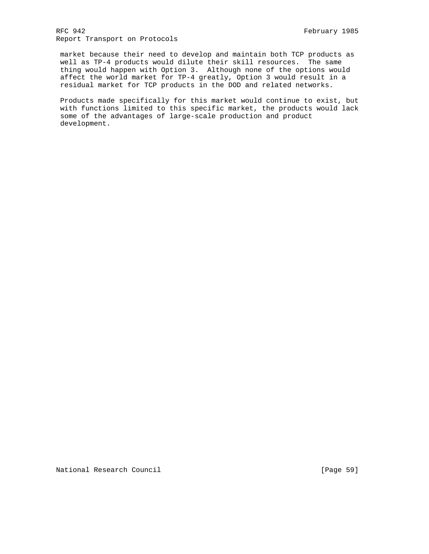market because their need to develop and maintain both TCP products as well as TP-4 products would dilute their skill resources. The same thing would happen with Option 3. Although none of the options would affect the world market for TP-4 greatly, Option 3 would result in a residual market for TCP products in the DOD and related networks.

 Products made specifically for this market would continue to exist, but with functions limited to this specific market, the products would lack some of the advantages of large-scale production and product development.

National Research Council **Example 20** (Page 59)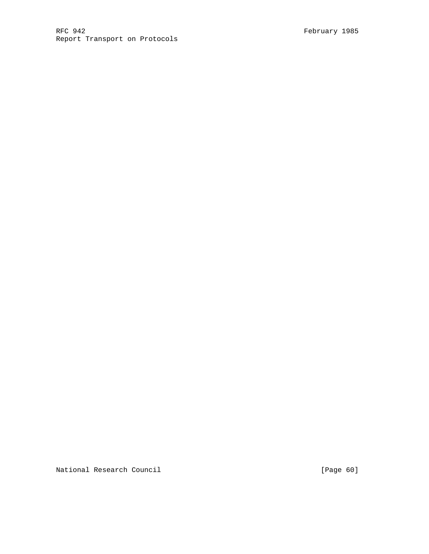National Research Council **Example 2018** [Page 60]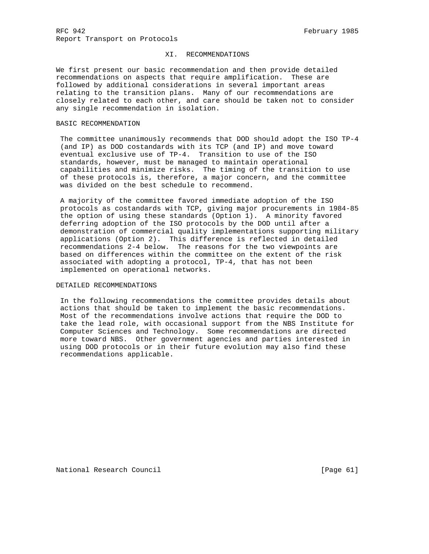# XI. RECOMMENDATIONS

We first present our basic recommendation and then provide detailed recommendations on aspects that require amplification. These are followed by additional considerations in several important areas relating to the transition plans. Many of our recommendations are closely related to each other, and care should be taken not to consider any single recommendation in isolation.

## BASIC RECOMMENDATION

 The committee unanimously recommends that DOD should adopt the ISO TP-4 (and IP) as DOD costandards with its TCP (and IP) and move toward eventual exclusive use of TP-4. Transition to use of the ISO standards, however, must be managed to maintain operational capabilities and minimize risks. The timing of the transition to use of these protocols is, therefore, a major concern, and the committee was divided on the best schedule to recommend.

 A majority of the committee favored immediate adoption of the ISO protocols as costandards with TCP, giving major procurements in 1984-85 the option of using these standards (Option 1). A minority favored deferring adoption of the ISO protocols by the DOD until after a demonstration of commercial quality implementations supporting military applications (Option 2). This difference is reflected in detailed recommendations 2-4 below. The reasons for the two viewpoints are based on differences within the committee on the extent of the risk associated with adopting a protocol, TP-4, that has not been implemented on operational networks.

#### DETAILED RECOMMENDATIONS

 In the following recommendations the committee provides details about actions that should be taken to implement the basic recommendations. Most of the recommendations involve actions that require the DOD to take the lead role, with occasional support from the NBS Institute for Computer Sciences and Technology. Some recommendations are directed more toward NBS. Other government agencies and parties interested in using DOD protocols or in their future evolution may also find these recommendations applicable.

National Research Council **Example 2018** [Page 61]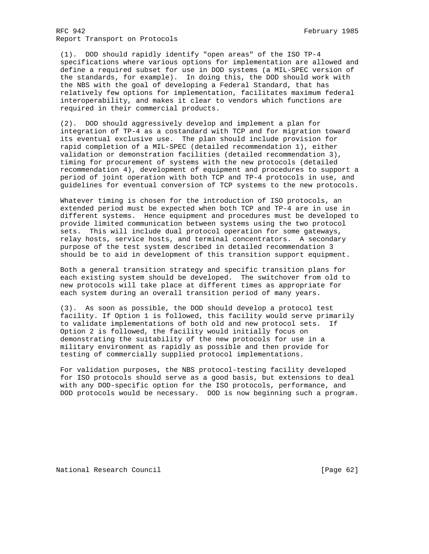(1). DOD should rapidly identify "open areas" of the ISO TP-4 specifications where various options for implementation are allowed and define a required subset for use in DOD systems (a MIL-SPEC version of the standards, for example). In doing this, the DOD should work with the NBS with the goal of developing a Federal Standard, that has relatively few options for implementation, facilitates maximum federal interoperability, and makes it clear to vendors which functions are required in their commercial products.

 (2). DOD should aggressively develop and implement a plan for integration of TP-4 as a costandard with TCP and for migration toward its eventual exclusive use. The plan should include provision for rapid completion of a MIL-SPEC (detailed recommendation 1), either validation or demonstration facilities (detailed recommendation 3), timing for procurement of systems with the new protocols (detailed recommendation 4), development of equipment and procedures to support a period of joint operation with both TCP and TP-4 protocols in use, and guidelines for eventual conversion of TCP systems to the new protocols.

 Whatever timing is chosen for the introduction of ISO protocols, an extended period must be expected when both TCP and TP-4 are in use in different systems. Hence equipment and procedures must be developed to provide limited communication between systems using the two protocol sets. This will include dual protocol operation for some gateways, relay hosts, service hosts, and terminal concentrators. A secondary purpose of the test system described in detailed recommendation 3 should be to aid in development of this transition support equipment.

 Both a general transition strategy and specific transition plans for each existing system should be developed. The switchover from old to new protocols will take place at different times as appropriate for each system during an overall transition period of many years.

 (3). As soon as possible, the DOD should develop a protocol test facility. If Option 1 is followed, this facility would serve primarily to validate implementations of both old and new protocol sets. If Option 2 is followed, the facility would initially focus on demonstrating the suitability of the new protocols for use in a military environment as rapidly as possible and then provide for testing of commercially supplied protocol implementations.

 For validation purposes, the NBS protocol-testing facility developed for ISO protocols should serve as a good basis, but extensions to deal with any DOD-specific option for the ISO protocols, performance, and DOD protocols would be necessary. DOD is now beginning such a program.

National Research Council **Example 2** and  $[Page 62]$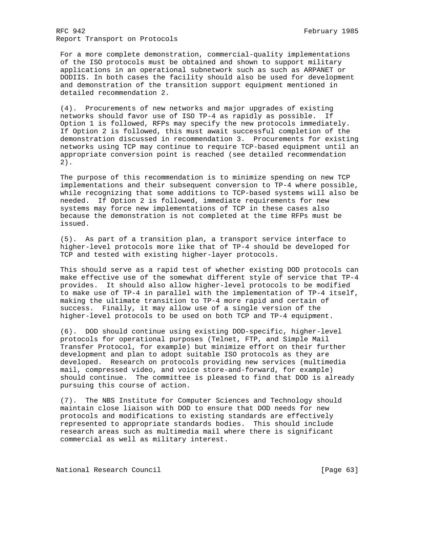For a more complete demonstration, commercial-quality implementations of the ISO protocols must be obtained and shown to support military applications in an operational subnetwork such as such as ARPANET or DODIIS. In both cases the facility should also be used for development and demonstration of the transition support equipment mentioned in detailed recommendation 2.

 (4). Procurements of new networks and major upgrades of existing networks should favor use of ISO TP-4 as rapidly as possible. If Option 1 is followed, RFPs may specify the new protocols immediately. If Option 2 is followed, this must await successful completion of the demonstration discussed in recommendation 3. Procurements for existing networks using TCP may continue to require TCP-based equipment until an appropriate conversion point is reached (see detailed recommendation 2).

 The purpose of this recommendation is to minimize spending on new TCP implementations and their subsequent conversion to TP-4 where possible, while recognizing that some additions to TCP-based systems will also be needed. If Option 2 is followed, immediate requirements for new systems may force new implementations of TCP in these cases also because the demonstration is not completed at the time RFPs must be issued.

 (5). As part of a transition plan, a transport service interface to higher-level protocols more like that of TP-4 should be developed for TCP and tested with existing higher-layer protocols.

 This should serve as a rapid test of whether existing DOD protocols can make effective use of the somewhat different style of service that TP-4 provides. It should also allow higher-level protocols to be modified to make use of TP-4 in parallel with the implementation of TP-4 itself, making the ultimate transition to TP-4 more rapid and certain of success. Finally, it may allow use of a single version of the higher-level protocols to be used on both TCP and TP-4 equipment.

 (6). DOD should continue using existing DOD-specific, higher-level protocols for operational purposes (Telnet, FTP, and Simple Mail Transfer Protocol, for example) but minimize effort on their further development and plan to adopt suitable ISO protocols as they are developed. Research on protocols providing new services (multimedia mail, compressed video, and voice store-and-forward, for example) should continue. The committee is pleased to find that DOD is already pursuing this course of action.

 (7). The NBS Institute for Computer Sciences and Technology should maintain close liaison with DOD to ensure that DOD needs for new protocols and modifications to existing standards are effectively represented to appropriate standards bodies. This should include research areas such as multimedia mail where there is significant commercial as well as military interest.

National Research Council **Example 2018** [Page 63]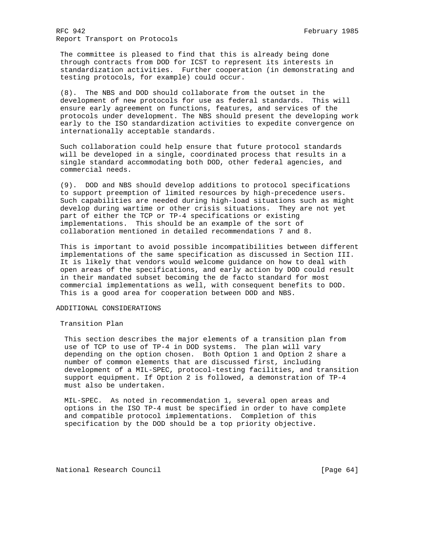The committee is pleased to find that this is already being done through contracts from DOD for ICST to represent its interests in standardization activities. Further cooperation (in demonstrating and testing protocols, for example) could occur.

 (8). The NBS and DOD should collaborate from the outset in the development of new protocols for use as federal standards. This will ensure early agreement on functions, features, and services of the protocols under development. The NBS should present the developing work early to the ISO standardization activities to expedite convergence on internationally acceptable standards.

 Such collaboration could help ensure that future protocol standards will be developed in a single, coordinated process that results in a single standard accommodating both DOD, other federal agencies, and commercial needs.

 (9). DOD and NBS should develop additions to protocol specifications to support preemption of limited resources by high-precedence users. Such capabilities are needed during high-load situations such as might develop during wartime or other crisis situations. They are not yet part of either the TCP or TP-4 specifications or existing implementations. This should be an example of the sort of collaboration mentioned in detailed recommendations 7 and 8.

 This is important to avoid possible incompatibilities between different implementations of the same specification as discussed in Section III. It is likely that vendors would welcome guidance on how to deal with open areas of the specifications, and early action by DOD could result in their mandated subset becoming the de facto standard for most commercial implementations as well, with consequent benefits to DOD. This is a good area for cooperation between DOD and NBS.

## ADDITIONAL CONSIDERATIONS

Transition Plan

 This section describes the major elements of a transition plan from use of TCP to use of TP-4 in DOD systems. The plan will vary depending on the option chosen. Both Option 1 and Option 2 share a number of common elements that are discussed first, including development of a MIL-SPEC, protocol-testing facilities, and transition support equipment. If Option 2 is followed, a demonstration of TP-4 must also be undertaken.

 MIL-SPEC. As noted in recommendation 1, several open areas and options in the ISO TP-4 must be specified in order to have complete and compatible protocol implementations. Completion of this specification by the DOD should be a top priority objective.

National Research Council **Example 2018** [Page 64]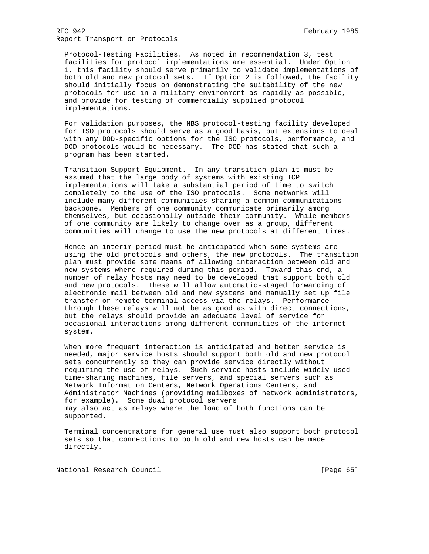Protocol-Testing Facilities. As noted in recommendation 3, test facilities for protocol implementations are essential. Under Option 1, this facility should serve primarily to validate implementations of both old and new protocol sets. If Option 2 is followed, the facility should initially focus on demonstrating the suitability of the new protocols for use in a military environment as rapidly as possible, and provide for testing of commercially supplied protocol implementations.

 For validation purposes, the NBS protocol-testing facility developed for ISO protocols should serve as a good basis, but extensions to deal with any DOD-specific options for the ISO protocols, performance, and DOD protocols would be necessary. The DOD has stated that such a program has been started.

 Transition Support Equipment. In any transition plan it must be assumed that the large body of systems with existing TCP implementations will take a substantial period of time to switch completely to the use of the ISO protocols. Some networks will include many different communities sharing a common communications backbone. Members of one community communicate primarily among themselves, but occasionally outside their community. While members of one community are likely to change over as a group, different communities will change to use the new protocols at different times.

 Hence an interim period must be anticipated when some systems are using the old protocols and others, the new protocols. The transition plan must provide some means of allowing interaction between old and new systems where required during this period. Toward this end, a number of relay hosts may need to be developed that support both old and new protocols. These will allow automatic-staged forwarding of electronic mail between old and new systems and manually set up file transfer or remote terminal access via the relays. Performance through these relays will not be as good as with direct connections, but the relays should provide an adequate level of service for occasional interactions among different communities of the internet system.

 When more frequent interaction is anticipated and better service is needed, major service hosts should support both old and new protocol sets concurrently so they can provide service directly without requiring the use of relays. Such service hosts include widely used time-sharing machines, file servers, and special servers such as Network Information Centers, Network Operations Centers, and Administrator Machines (providing mailboxes of network administrators, for example). Some dual protocol servers may also act as relays where the load of both functions can be supported.

 Terminal concentrators for general use must also support both protocol sets so that connections to both old and new hosts can be made directly.

National Research Council **Example 2018** [Page 65]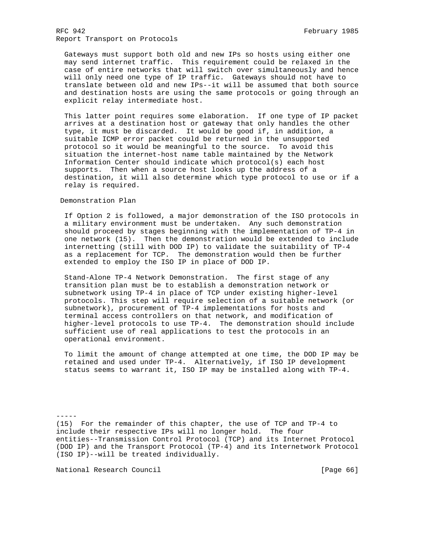Gateways must support both old and new IPs so hosts using either one may send internet traffic. This requirement could be relaxed in the case of entire networks that will switch over simultaneously and hence will only need one type of IP traffic. Gateways should not have to translate between old and new IPs--it will be assumed that both source and destination hosts are using the same protocols or going through an explicit relay intermediate host.

 This latter point requires some elaboration. If one type of IP packet arrives at a destination host or gateway that only handles the other type, it must be discarded. It would be good if, in addition, a suitable ICMP error packet could be returned in the unsupported protocol so it would be meaningful to the source. To avoid this situation the internet-host name table maintained by the Network Information Center should indicate which protocol(s) each host supports. Then when a source host looks up the address of a destination, it will also determine which type protocol to use or if a relay is required.

#### Demonstration Plan

 If Option 2 is followed, a major demonstration of the ISO protocols in a military environment must be undertaken. Any such demonstration should proceed by stages beginning with the implementation of TP-4 in one network (15). Then the demonstration would be extended to include internetting (still with DOD IP) to validate the suitability of TP-4 as a replacement for TCP. The demonstration would then be further extended to employ the ISO IP in place of DOD IP.

 Stand-Alone TP-4 Network Demonstration. The first stage of any transition plan must be to establish a demonstration network or subnetwork using TP-4 in place of TCP under existing higher-level protocols. This step will require selection of a suitable network (or subnetwork), procurement of TP-4 implementations for hosts and terminal access controllers on that network, and modification of higher-level protocols to use TP-4. The demonstration should include sufficient use of real applications to test the protocols in an operational environment.

 To limit the amount of change attempted at one time, the DOD IP may be retained and used under TP-4. Alternatively, if ISO IP development status seems to warrant it, ISO IP may be installed along with TP-4.

-----

(15) For the remainder of this chapter, the use of TCP and TP-4 to include their respective IPs will no longer hold. The four entities--Transmission Control Protocol (TCP) and its Internet Protocol (DOD IP) and the Transport Protocol (TP-4) and its Internetwork Protocol (ISO IP)--will be treated individually.

National Research Council **Example 20** (Page 66)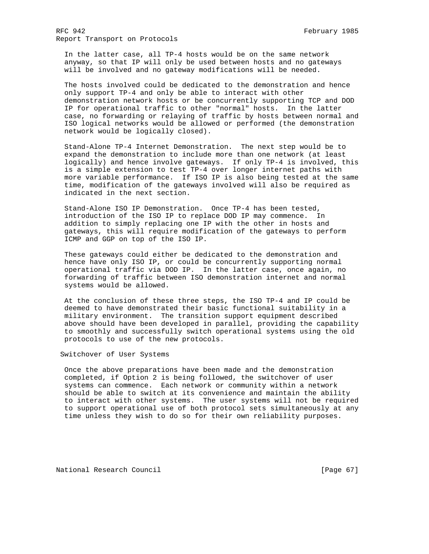In the latter case, all TP-4 hosts would be on the same network anyway, so that IP will only be used between hosts and no gateways will be involved and no gateway modifications will be needed.

 The hosts involved could be dedicated to the demonstration and hence only support TP-4 and only be able to interact with other demonstration network hosts or be concurrently supporting TCP and DOD IP for operational traffic to other "normal" hosts. In the latter case, no forwarding or relaying of traffic by hosts between normal and ISO logical networks would be allowed or performed (the demonstration network would be logically closed).

 Stand-Alone TP-4 Internet Demonstration. The next step would be to expand the demonstration to include more than one network (at least logically) and hence involve gateways. If only TP-4 is involved, this is a simple extension to test TP-4 over longer internet paths with more variable performance. If ISO IP is also being tested at the same time, modification of the gateways involved will also be required as indicated in the next section.

 Stand-Alone ISO IP Demonstration. Once TP-4 has been tested, introduction of the ISO IP to replace DOD IP may commence. In addition to simply replacing one IP with the other in hosts and gateways, this will require modification of the gateways to perform ICMP and GGP on top of the ISO IP.

 These gateways could either be dedicated to the demonstration and hence have only ISO IP, or could be concurrently supporting normal operational traffic via DOD IP. In the latter case, once again, no forwarding of traffic between ISO demonstration internet and normal systems would be allowed.

 At the conclusion of these three steps, the ISO TP-4 and IP could be deemed to have demonstrated their basic functional suitability in a military environment. The transition support equipment described above should have been developed in parallel, providing the capability to smoothly and successfully switch operational systems using the old protocols to use of the new protocols.

Switchover of User Systems

 Once the above preparations have been made and the demonstration completed, if Option 2 is being followed, the switchover of user systems can commence. Each network or community within a network should be able to switch at its convenience and maintain the ability to interact with other systems. The user systems will not be required to support operational use of both protocol sets simultaneously at any time unless they wish to do so for their own reliability purposes.

National Research Council **Example 2018** [Page 67]